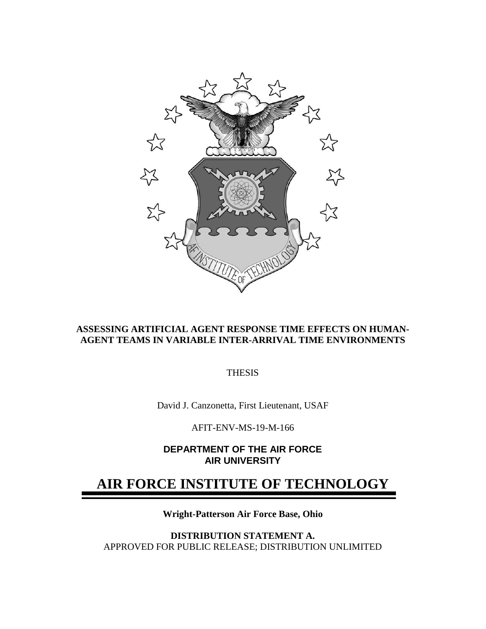

# **ASSESSING ARTIFICIAL AGENT RESPONSE TIME EFFECTS ON HUMAN-AGENT TEAMS IN VARIABLE INTER-ARRIVAL TIME ENVIRONMENTS**

**THESIS** 

David J. Canzonetta, First Lieutenant, USAF

AFIT-ENV-MS-19-M-166

**DEPARTMENT OF THE AIR FORCE AIR UNIVERSITY**

# **AIR FORCE INSTITUTE OF TECHNOLOGY**

**Wright-Patterson Air Force Base, Ohio**

**DISTRIBUTION STATEMENT A.** APPROVED FOR PUBLIC RELEASE; DISTRIBUTION UNLIMITED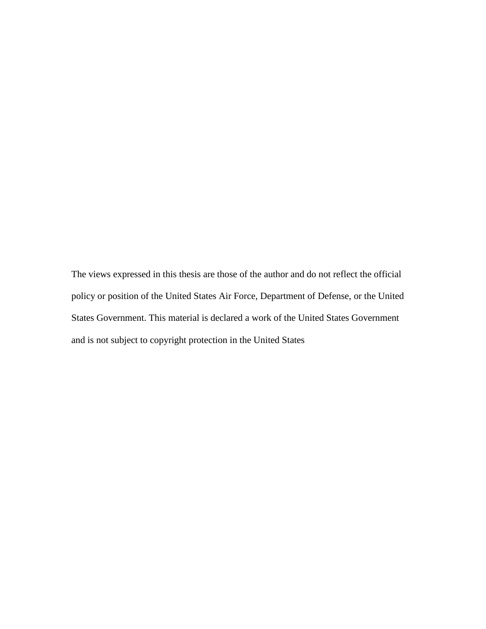The views expressed in this thesis are those of the author and do not reflect the official policy or position of the United States Air Force, Department of Defense, or the United States Government. This material is declared a work of the United States Government and is not subject to copyright protection in the United States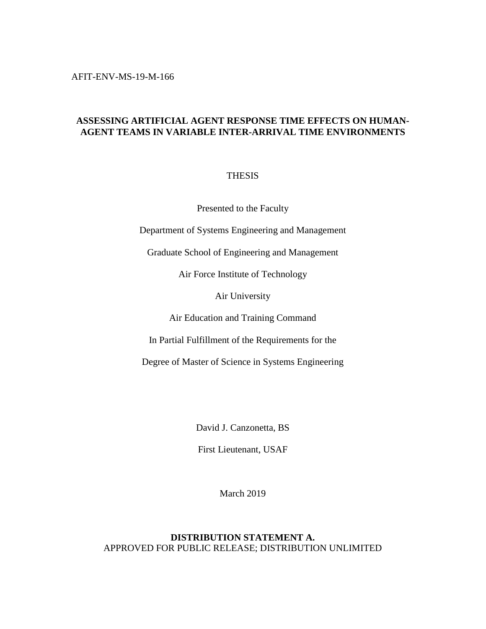AFIT-ENV-MS-19-M-166

# **ASSESSING ARTIFICIAL AGENT RESPONSE TIME EFFECTS ON HUMAN-AGENT TEAMS IN VARIABLE INTER-ARRIVAL TIME ENVIRONMENTS**

# THESIS

Presented to the Faculty

Department of Systems Engineering and Management

Graduate School of Engineering and Management

Air Force Institute of Technology

Air University

Air Education and Training Command

In Partial Fulfillment of the Requirements for the

Degree of Master of Science in Systems Engineering

David J. Canzonetta, BS

First Lieutenant, USAF

March 2019

# **DISTRIBUTION STATEMENT A.** APPROVED FOR PUBLIC RELEASE; DISTRIBUTION UNLIMITED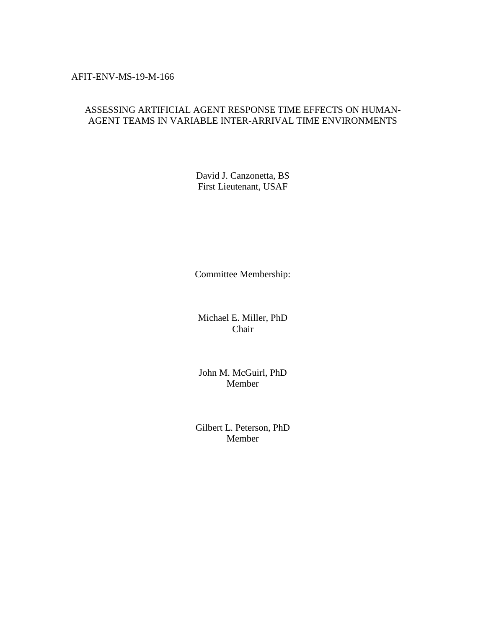# AFIT-ENV-MS-19-M-166

# ASSESSING ARTIFICIAL AGENT RESPONSE TIME EFFECTS ON HUMAN-AGENT TEAMS IN VARIABLE INTER-ARRIVAL TIME ENVIRONMENTS

David J. Canzonetta, BS First Lieutenant, USAF

Committee Membership:

Michael E. Miller, PhD Chair

John M. McGuirl, PhD Member

Gilbert L. Peterson, PhD Member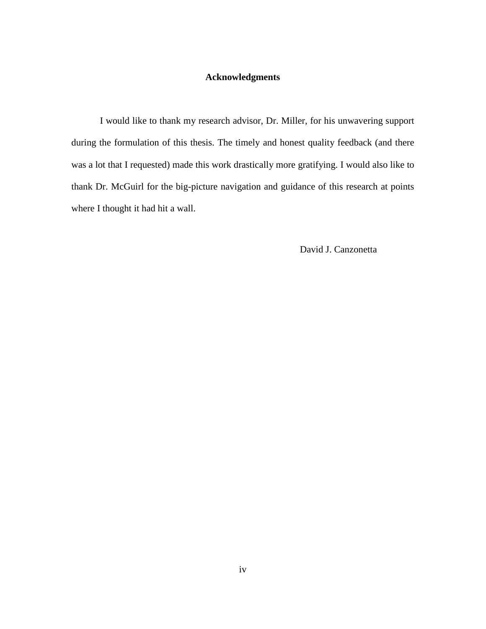# **Acknowledgments**

<span id="page-4-0"></span>I would like to thank my research advisor, Dr. Miller, for his unwavering support during the formulation of this thesis. The timely and honest quality feedback (and there was a lot that I requested) made this work drastically more gratifying. I would also like to thank Dr. McGuirl for the big-picture navigation and guidance of this research at points where I thought it had hit a wall.

David J. Canzonetta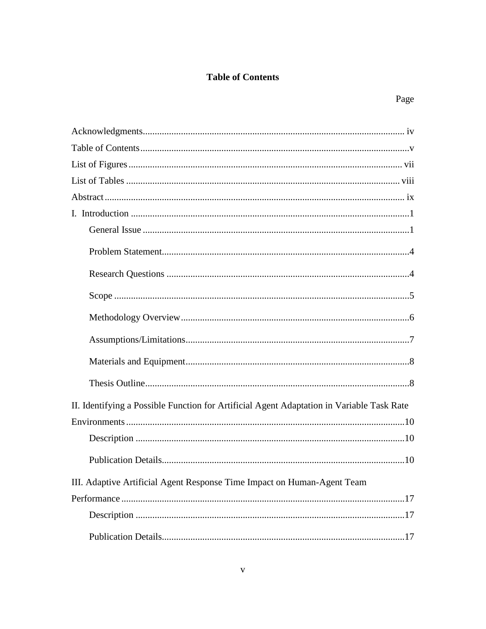# **Table of Contents**

<span id="page-5-0"></span>

| II. Identifying a Possible Function for Artificial Agent Adaptation in Variable Task Rate |
|-------------------------------------------------------------------------------------------|
|                                                                                           |
|                                                                                           |
|                                                                                           |
| III. Adaptive Artificial Agent Response Time Impact on Human-Agent Team                   |
|                                                                                           |
|                                                                                           |
|                                                                                           |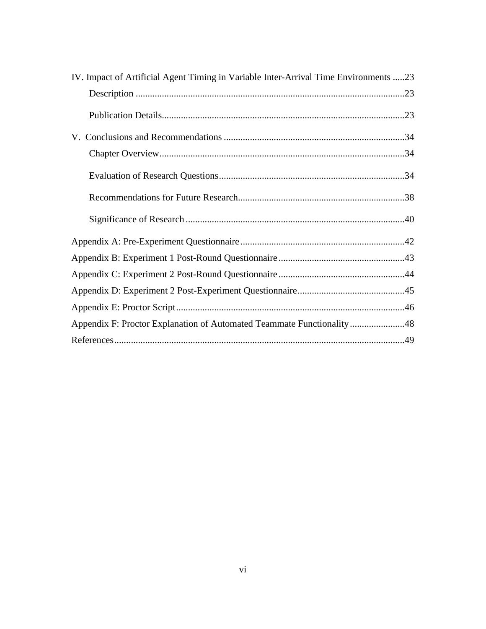| IV. Impact of Artificial Agent Timing in Variable Inter-Arrival Time Environments 23 |  |
|--------------------------------------------------------------------------------------|--|
|                                                                                      |  |
|                                                                                      |  |
|                                                                                      |  |
|                                                                                      |  |
|                                                                                      |  |
|                                                                                      |  |
|                                                                                      |  |
|                                                                                      |  |
|                                                                                      |  |
|                                                                                      |  |
|                                                                                      |  |
|                                                                                      |  |
| Appendix F: Proctor Explanation of Automated Teammate Functionality48                |  |
|                                                                                      |  |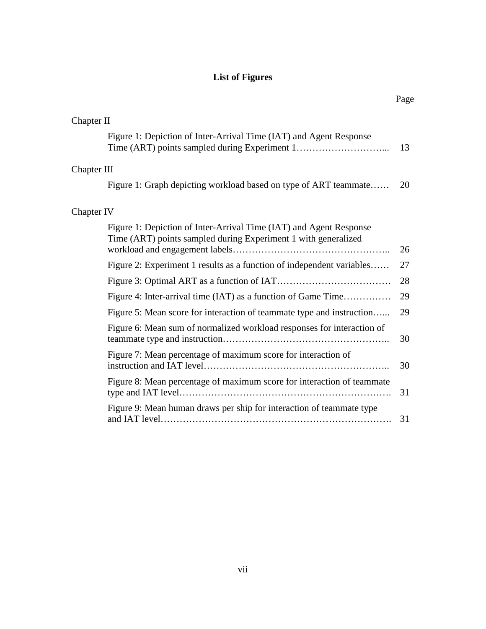# **List of Figures**

<span id="page-7-0"></span>

| Chapter II  |                                                                                                                                      |    |
|-------------|--------------------------------------------------------------------------------------------------------------------------------------|----|
|             | Figure 1: Depiction of Inter-Arrival Time (IAT) and Agent Response                                                                   | 13 |
| Chapter III |                                                                                                                                      |    |
|             | Figure 1: Graph depicting workload based on type of ART teammate                                                                     | 20 |
| Chapter IV  |                                                                                                                                      |    |
|             | Figure 1: Depiction of Inter-Arrival Time (IAT) and Agent Response<br>Time (ART) points sampled during Experiment 1 with generalized | 26 |
|             | Figure 2: Experiment 1 results as a function of independent variables                                                                | 27 |
|             |                                                                                                                                      | 28 |
|             | Figure 4: Inter-arrival time (IAT) as a function of Game Time                                                                        | 29 |
|             | Figure 5: Mean score for interaction of teammate type and instruction                                                                | 29 |
|             | Figure 6: Mean sum of normalized workload responses for interaction of                                                               | 30 |
|             | Figure 7: Mean percentage of maximum score for interaction of                                                                        | 30 |
|             | Figure 8: Mean percentage of maximum score for interaction of teammate                                                               | 31 |
|             | Figure 9: Mean human draws per ship for interaction of teammate type                                                                 | 31 |
|             |                                                                                                                                      |    |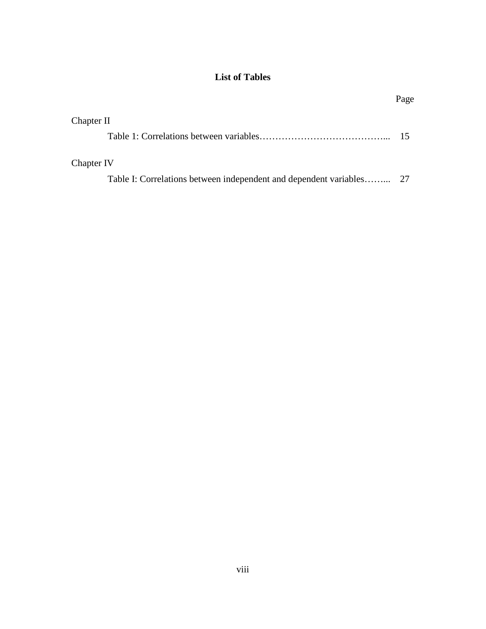# **List of Tables**

<span id="page-8-0"></span>

|                                                                   | Page |
|-------------------------------------------------------------------|------|
| Chapter II                                                        |      |
|                                                                   |      |
| Chapter IV                                                        |      |
| Table I: Correlations between independent and dependent variables | - 27 |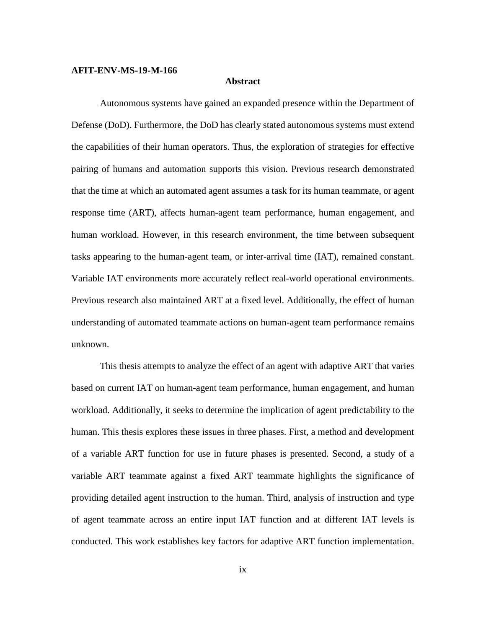#### <span id="page-9-0"></span>**AFIT-ENV-MS-19-M-166**

#### **Abstract**

Autonomous systems have gained an expanded presence within the Department of Defense (DoD). Furthermore, the DoD has clearly stated autonomous systems must extend the capabilities of their human operators. Thus, the exploration of strategies for effective pairing of humans and automation supports this vision. Previous research demonstrated that the time at which an automated agent assumes a task for its human teammate, or agent response time (ART), affects human-agent team performance, human engagement, and human workload. However, in this research environment, the time between subsequent tasks appearing to the human-agent team, or inter-arrival time (IAT), remained constant. Variable IAT environments more accurately reflect real-world operational environments. Previous research also maintained ART at a fixed level. Additionally, the effect of human understanding of automated teammate actions on human-agent team performance remains unknown.

This thesis attempts to analyze the effect of an agent with adaptive ART that varies based on current IAT on human-agent team performance, human engagement, and human workload. Additionally, it seeks to determine the implication of agent predictability to the human. This thesis explores these issues in three phases. First, a method and development of a variable ART function for use in future phases is presented. Second, a study of a variable ART teammate against a fixed ART teammate highlights the significance of providing detailed agent instruction to the human. Third, analysis of instruction and type of agent teammate across an entire input IAT function and at different IAT levels is conducted. This work establishes key factors for adaptive ART function implementation.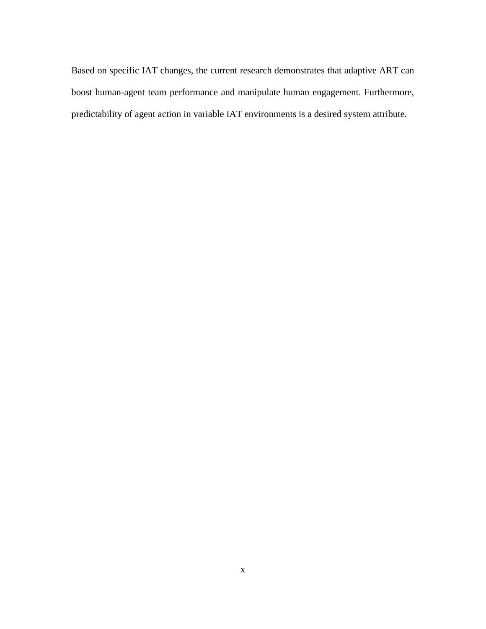Based on specific IAT changes, the current research demonstrates that adaptive ART can boost human-agent team performance and manipulate human engagement. Furthermore, predictability of agent action in variable IAT environments is a desired system attribute.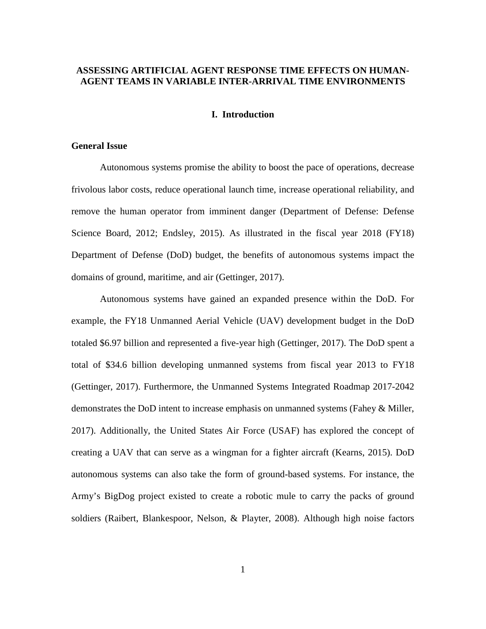# **ASSESSING ARTIFICIAL AGENT RESPONSE TIME EFFECTS ON HUMAN-AGENT TEAMS IN VARIABLE INTER-ARRIVAL TIME ENVIRONMENTS**

## **I. Introduction**

# <span id="page-11-1"></span><span id="page-11-0"></span>**General Issue**

Autonomous systems promise the ability to boost the pace of operations, decrease frivolous labor costs, reduce operational launch time, increase operational reliability, and remove the human operator from imminent danger (Department of Defense: Defense Science Board, 2012; Endsley, 2015). As illustrated in the fiscal year 2018 (FY18) Department of Defense (DoD) budget, the benefits of autonomous systems impact the domains of ground, maritime, and air (Gettinger, 2017).

Autonomous systems have gained an expanded presence within the DoD. For example, the FY18 Unmanned Aerial Vehicle (UAV) development budget in the DoD totaled \$6.97 billion and represented a five-year high (Gettinger, 2017). The DoD spent a total of \$34.6 billion developing unmanned systems from fiscal year 2013 to FY18 (Gettinger, 2017). Furthermore, the Unmanned Systems Integrated Roadmap 2017-2042 demonstrates the DoD intent to increase emphasis on unmanned systems (Fahey & Miller, 2017). Additionally, the United States Air Force (USAF) has explored the concept of creating a UAV that can serve as a wingman for a fighter aircraft (Kearns, 2015). DoD autonomous systems can also take the form of ground-based systems. For instance, the Army's BigDog project existed to create a robotic mule to carry the packs of ground soldiers (Raibert, Blankespoor, Nelson, & Playter, 2008). Although high noise factors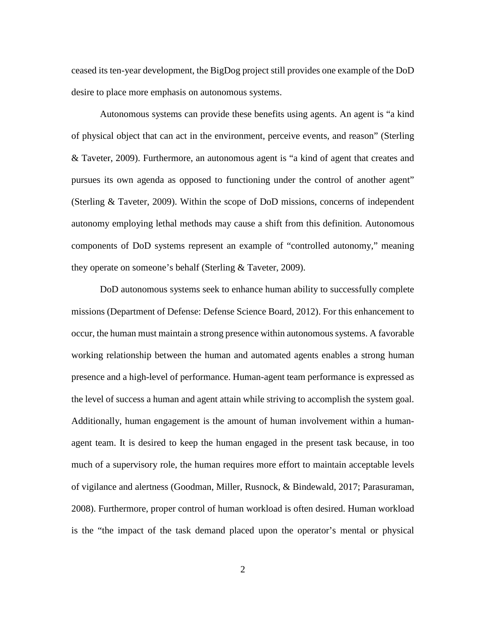ceased its ten-year development, the BigDog project still provides one example of the DoD desire to place more emphasis on autonomous systems.

Autonomous systems can provide these benefits using agents. An agent is "a kind of physical object that can act in the environment, perceive events, and reason" (Sterling & Taveter, 2009). Furthermore, an autonomous agent is "a kind of agent that creates and pursues its own agenda as opposed to functioning under the control of another agent" (Sterling & Taveter, 2009). Within the scope of DoD missions, concerns of independent autonomy employing lethal methods may cause a shift from this definition. Autonomous components of DoD systems represent an example of "controlled autonomy," meaning they operate on someone's behalf (Sterling & Taveter, 2009).

DoD autonomous systems seek to enhance human ability to successfully complete missions (Department of Defense: Defense Science Board, 2012). For this enhancement to occur, the human must maintain a strong presence within autonomous systems. A favorable working relationship between the human and automated agents enables a strong human presence and a high-level of performance. Human-agent team performance is expressed as the level of success a human and agent attain while striving to accomplish the system goal. Additionally, human engagement is the amount of human involvement within a humanagent team. It is desired to keep the human engaged in the present task because, in too much of a supervisory role, the human requires more effort to maintain acceptable levels of vigilance and alertness (Goodman, Miller, Rusnock, & Bindewald, 2017; Parasuraman, 2008). Furthermore, proper control of human workload is often desired. Human workload is the "the impact of the task demand placed upon the operator's mental or physical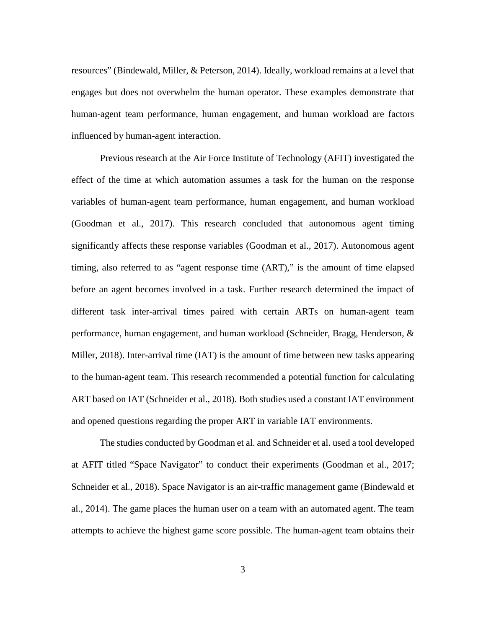resources" (Bindewald, Miller, & Peterson, 2014). Ideally, workload remains at a level that engages but does not overwhelm the human operator. These examples demonstrate that human-agent team performance, human engagement, and human workload are factors influenced by human-agent interaction.

Previous research at the Air Force Institute of Technology (AFIT) investigated the effect of the time at which automation assumes a task for the human on the response variables of human-agent team performance, human engagement, and human workload (Goodman et al., 2017). This research concluded that autonomous agent timing significantly affects these response variables (Goodman et al., 2017). Autonomous agent timing, also referred to as "agent response time (ART)," is the amount of time elapsed before an agent becomes involved in a task. Further research determined the impact of different task inter-arrival times paired with certain ARTs on human-agent team performance, human engagement, and human workload (Schneider, Bragg, Henderson, & Miller, 2018). Inter-arrival time (IAT) is the amount of time between new tasks appearing to the human-agent team. This research recommended a potential function for calculating ART based on IAT (Schneider et al., 2018). Both studies used a constant IAT environment and opened questions regarding the proper ART in variable IAT environments.

The studies conducted by Goodman et al. and Schneider et al. used a tool developed at AFIT titled "Space Navigator" to conduct their experiments (Goodman et al., 2017; Schneider et al., 2018). Space Navigator is an air-traffic management game (Bindewald et al., 2014). The game places the human user on a team with an automated agent. The team attempts to achieve the highest game score possible. The human-agent team obtains their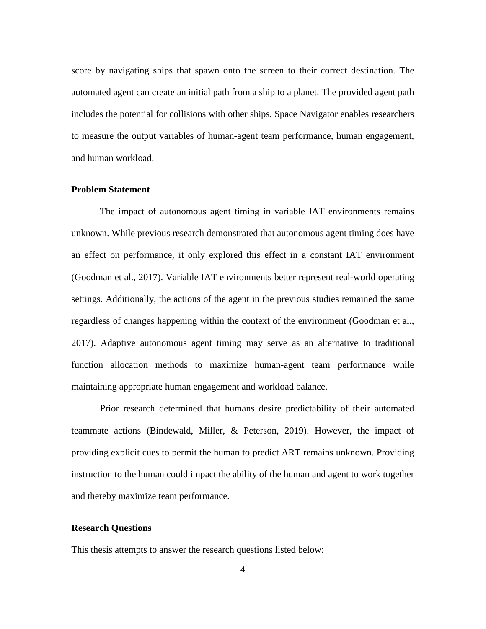score by navigating ships that spawn onto the screen to their correct destination. The automated agent can create an initial path from a ship to a planet. The provided agent path includes the potential for collisions with other ships. Space Navigator enables researchers to measure the output variables of human-agent team performance, human engagement, and human workload.

# <span id="page-14-0"></span>**Problem Statement**

The impact of autonomous agent timing in variable IAT environments remains unknown. While previous research demonstrated that autonomous agent timing does have an effect on performance, it only explored this effect in a constant IAT environment (Goodman et al., 2017). Variable IAT environments better represent real-world operating settings. Additionally, the actions of the agent in the previous studies remained the same regardless of changes happening within the context of the environment (Goodman et al., 2017). Adaptive autonomous agent timing may serve as an alternative to traditional function allocation methods to maximize human-agent team performance while maintaining appropriate human engagement and workload balance.

Prior research determined that humans desire predictability of their automated teammate actions (Bindewald, Miller, & Peterson, 2019). However, the impact of providing explicit cues to permit the human to predict ART remains unknown. Providing instruction to the human could impact the ability of the human and agent to work together and thereby maximize team performance.

### <span id="page-14-1"></span>**Research Questions**

This thesis attempts to answer the research questions listed below: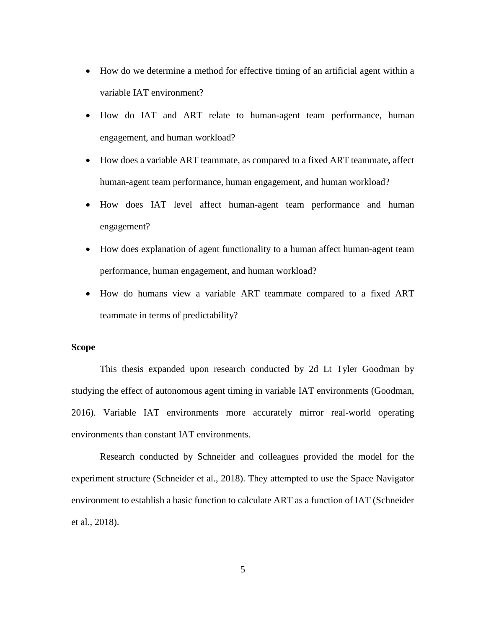- How do we determine a method for effective timing of an artificial agent within a variable IAT environment?
- How do IAT and ART relate to human-agent team performance, human engagement, and human workload?
- How does a variable ART teammate, as compared to a fixed ART teammate, affect human-agent team performance, human engagement, and human workload?
- How does IAT level affect human-agent team performance and human engagement?
- How does explanation of agent functionality to a human affect human-agent team performance, human engagement, and human workload?
- How do humans view a variable ART teammate compared to a fixed ART teammate in terms of predictability?

# <span id="page-15-0"></span>**Scope**

This thesis expanded upon research conducted by 2d Lt Tyler Goodman by studying the effect of autonomous agent timing in variable IAT environments (Goodman, 2016). Variable IAT environments more accurately mirror real-world operating environments than constant IAT environments.

Research conducted by Schneider and colleagues provided the model for the experiment structure (Schneider et al., 2018). They attempted to use the Space Navigator environment to establish a basic function to calculate ART as a function of IAT (Schneider et al., 2018).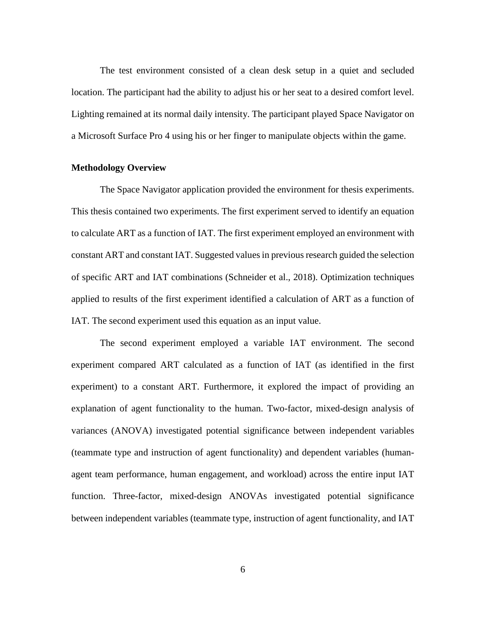The test environment consisted of a clean desk setup in a quiet and secluded location. The participant had the ability to adjust his or her seat to a desired comfort level. Lighting remained at its normal daily intensity. The participant played Space Navigator on a Microsoft Surface Pro 4 using his or her finger to manipulate objects within the game.

#### <span id="page-16-0"></span>**Methodology Overview**

The Space Navigator application provided the environment for thesis experiments. This thesis contained two experiments. The first experiment served to identify an equation to calculate ART as a function of IAT. The first experiment employed an environment with constant ART and constant IAT. Suggested values in previous research guided the selection of specific ART and IAT combinations (Schneider et al., 2018). Optimization techniques applied to results of the first experiment identified a calculation of ART as a function of IAT. The second experiment used this equation as an input value.

The second experiment employed a variable IAT environment. The second experiment compared ART calculated as a function of IAT (as identified in the first experiment) to a constant ART. Furthermore, it explored the impact of providing an explanation of agent functionality to the human. Two-factor, mixed-design analysis of variances (ANOVA) investigated potential significance between independent variables (teammate type and instruction of agent functionality) and dependent variables (humanagent team performance, human engagement, and workload) across the entire input IAT function. Three-factor, mixed-design ANOVAs investigated potential significance between independent variables (teammate type, instruction of agent functionality, and IAT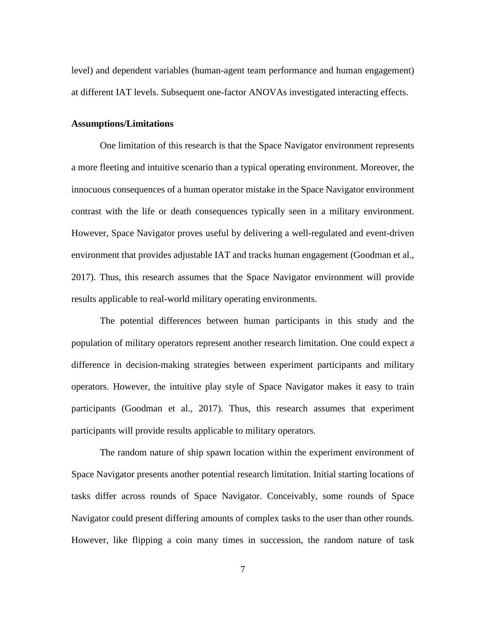level) and dependent variables (human-agent team performance and human engagement) at different IAT levels. Subsequent one-factor ANOVAs investigated interacting effects.

#### <span id="page-17-0"></span>**Assumptions/Limitations**

One limitation of this research is that the Space Navigator environment represents a more fleeting and intuitive scenario than a typical operating environment. Moreover, the innocuous consequences of a human operator mistake in the Space Navigator environment contrast with the life or death consequences typically seen in a military environment. However, Space Navigator proves useful by delivering a well-regulated and event-driven environment that provides adjustable IAT and tracks human engagement (Goodman et al., 2017). Thus, this research assumes that the Space Navigator environment will provide results applicable to real-world military operating environments.

The potential differences between human participants in this study and the population of military operators represent another research limitation. One could expect a difference in decision-making strategies between experiment participants and military operators. However, the intuitive play style of Space Navigator makes it easy to train participants (Goodman et al., 2017). Thus, this research assumes that experiment participants will provide results applicable to military operators.

The random nature of ship spawn location within the experiment environment of Space Navigator presents another potential research limitation. Initial starting locations of tasks differ across rounds of Space Navigator. Conceivably, some rounds of Space Navigator could present differing amounts of complex tasks to the user than other rounds. However, like flipping a coin many times in succession, the random nature of task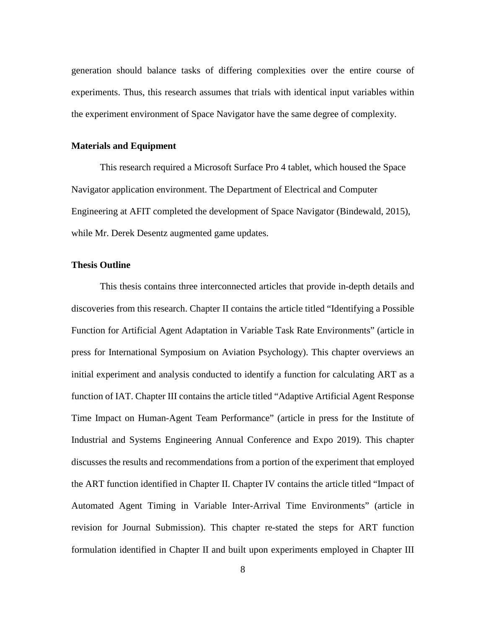generation should balance tasks of differing complexities over the entire course of experiments. Thus, this research assumes that trials with identical input variables within the experiment environment of Space Navigator have the same degree of complexity.

## <span id="page-18-0"></span>**Materials and Equipment**

This research required a Microsoft Surface Pro 4 tablet, which housed the Space Navigator application environment. The Department of Electrical and Computer Engineering at AFIT completed the development of Space Navigator (Bindewald, 2015), while Mr. Derek Desentz augmented game updates.

## <span id="page-18-1"></span>**Thesis Outline**

This thesis contains three interconnected articles that provide in-depth details and discoveries from this research. Chapter II contains the article titled "Identifying a Possible Function for Artificial Agent Adaptation in Variable Task Rate Environments" (article in press for International Symposium on Aviation Psychology). This chapter overviews an initial experiment and analysis conducted to identify a function for calculating ART as a function of IAT. Chapter III contains the article titled "Adaptive Artificial Agent Response Time Impact on Human-Agent Team Performance" (article in press for the Institute of Industrial and Systems Engineering Annual Conference and Expo 2019). This chapter discusses the results and recommendations from a portion of the experiment that employed the ART function identified in Chapter II. Chapter IV contains the article titled "Impact of Automated Agent Timing in Variable Inter-Arrival Time Environments" (article in revision for Journal Submission). This chapter re-stated the steps for ART function formulation identified in Chapter II and built upon experiments employed in Chapter III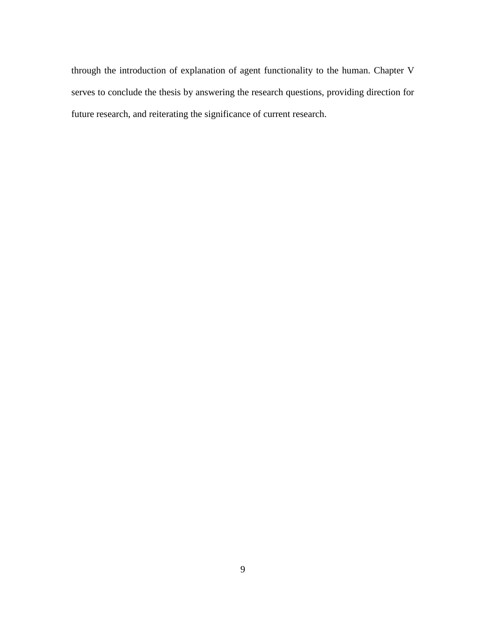through the introduction of explanation of agent functionality to the human. Chapter V serves to conclude the thesis by answering the research questions, providing direction for future research, and reiterating the significance of current research.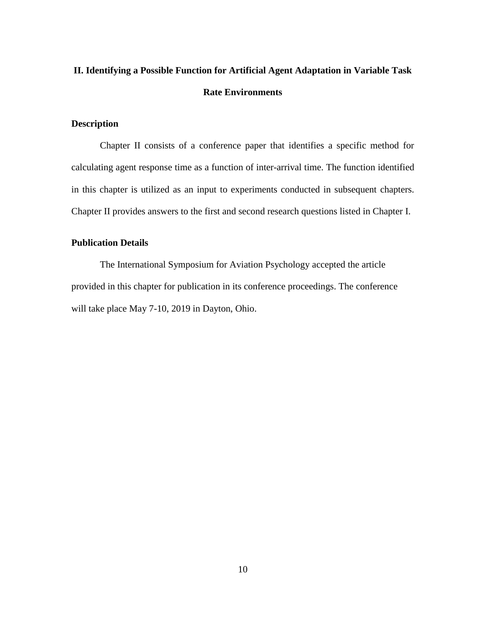# <span id="page-20-0"></span>**II. Identifying a Possible Function for Artificial Agent Adaptation in Variable Task Rate Environments**

# <span id="page-20-1"></span>**Description**

Chapter II consists of a conference paper that identifies a specific method for calculating agent response time as a function of inter-arrival time. The function identified in this chapter is utilized as an input to experiments conducted in subsequent chapters. Chapter II provides answers to the first and second research questions listed in Chapter I.

# <span id="page-20-2"></span>**Publication Details**

The International Symposium for Aviation Psychology accepted the article provided in this chapter for publication in its conference proceedings. The conference will take place May 7-10, 2019 in Dayton, Ohio.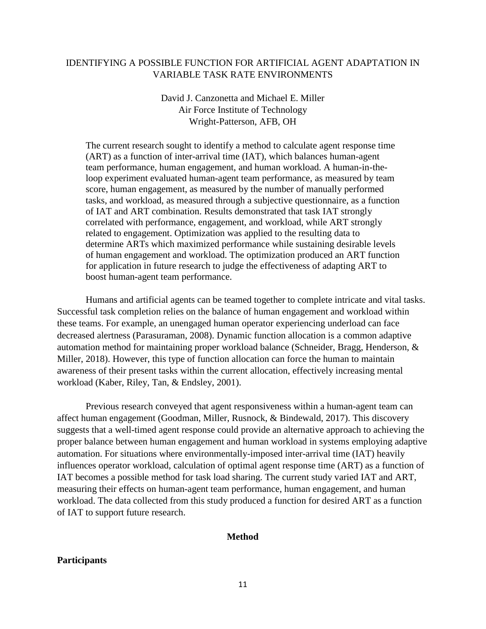# IDENTIFYING A POSSIBLE FUNCTION FOR ARTIFICIAL AGENT ADAPTATION IN VARIABLE TASK RATE ENVIRONMENTS

# David J. Canzonetta and Michael E. Miller Air Force Institute of Technology Wright-Patterson, AFB, OH

The current research sought to identify a method to calculate agent response time (ART) as a function of inter-arrival time (IAT), which balances human-agent team performance, human engagement, and human workload. A human-in-theloop experiment evaluated human-agent team performance, as measured by team score, human engagement, as measured by the number of manually performed tasks, and workload, as measured through a subjective questionnaire, as a function of IAT and ART combination. Results demonstrated that task IAT strongly correlated with performance, engagement, and workload, while ART strongly related to engagement. Optimization was applied to the resulting data to determine ARTs which maximized performance while sustaining desirable levels of human engagement and workload. The optimization produced an ART function for application in future research to judge the effectiveness of adapting ART to boost human-agent team performance.

Humans and artificial agents can be teamed together to complete intricate and vital tasks. Successful task completion relies on the balance of human engagement and workload within these teams. For example, an unengaged human operator experiencing underload can face decreased alertness (Parasuraman, 2008). Dynamic function allocation is a common adaptive automation method for maintaining proper workload balance (Schneider, Bragg, Henderson, & Miller, 2018). However, this type of function allocation can force the human to maintain awareness of their present tasks within the current allocation, effectively increasing mental workload (Kaber, Riley, Tan, & Endsley, 2001).

Previous research conveyed that agent responsiveness within a human-agent team can affect human engagement (Goodman, Miller, Rusnock, & Bindewald, 2017). This discovery suggests that a well-timed agent response could provide an alternative approach to achieving the proper balance between human engagement and human workload in systems employing adaptive automation. For situations where environmentally-imposed inter-arrival time (IAT) heavily influences operator workload, calculation of optimal agent response time (ART) as a function of IAT becomes a possible method for task load sharing. The current study varied IAT and ART, measuring their effects on human-agent team performance, human engagement, and human workload. The data collected from this study produced a function for desired ART as a function of IAT to support future research.

#### **Method**

#### **Participants**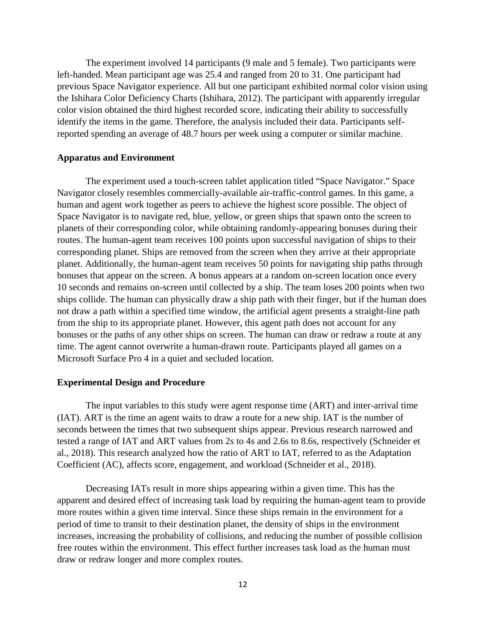The experiment involved 14 participants (9 male and 5 female). Two participants were left-handed. Mean participant age was 25.4 and ranged from 20 to 31. One participant had previous Space Navigator experience. All but one participant exhibited normal color vision using the Ishihara Color Deficiency Charts (Ishihara, 2012). The participant with apparently irregular color vision obtained the third highest recorded score, indicating their ability to successfully identify the items in the game. Therefore, the analysis included their data. Participants selfreported spending an average of 48.7 hours per week using a computer or similar machine.

## **Apparatus and Environment**

The experiment used a touch-screen tablet application titled "Space Navigator." Space Navigator closely resembles commercially-available air-traffic-control games. In this game, a human and agent work together as peers to achieve the highest score possible. The object of Space Navigator is to navigate red, blue, yellow, or green ships that spawn onto the screen to planets of their corresponding color, while obtaining randomly-appearing bonuses during their routes. The human-agent team receives 100 points upon successful navigation of ships to their corresponding planet. Ships are removed from the screen when they arrive at their appropriate planet. Additionally, the human-agent team receives 50 points for navigating ship paths through bonuses that appear on the screen. A bonus appears at a random on-screen location once every 10 seconds and remains on-screen until collected by a ship. The team loses 200 points when two ships collide. The human can physically draw a ship path with their finger, but if the human does not draw a path within a specified time window, the artificial agent presents a straight-line path from the ship to its appropriate planet. However, this agent path does not account for any bonuses or the paths of any other ships on screen. The human can draw or redraw a route at any time. The agent cannot overwrite a human-drawn route. Participants played all games on a Microsoft Surface Pro 4 in a quiet and secluded location.

#### **Experimental Design and Procedure**

The input variables to this study were agent response time (ART) and inter-arrival time (IAT). ART is the time an agent waits to draw a route for a new ship. IAT is the number of seconds between the times that two subsequent ships appear. Previous research narrowed and tested a range of IAT and ART values from 2s to 4s and 2.6s to 8.6s, respectively (Schneider et al., 2018). This research analyzed how the ratio of ART to IAT, referred to as the Adaptation Coefficient (AC), affects score, engagement, and workload (Schneider et al., 2018).

Decreasing IATs result in more ships appearing within a given time. This has the apparent and desired effect of increasing task load by requiring the human-agent team to provide more routes within a given time interval. Since these ships remain in the environment for a period of time to transit to their destination planet, the density of ships in the environment increases, increasing the probability of collisions, and reducing the number of possible collision free routes within the environment. This effect further increases task load as the human must draw or redraw longer and more complex routes.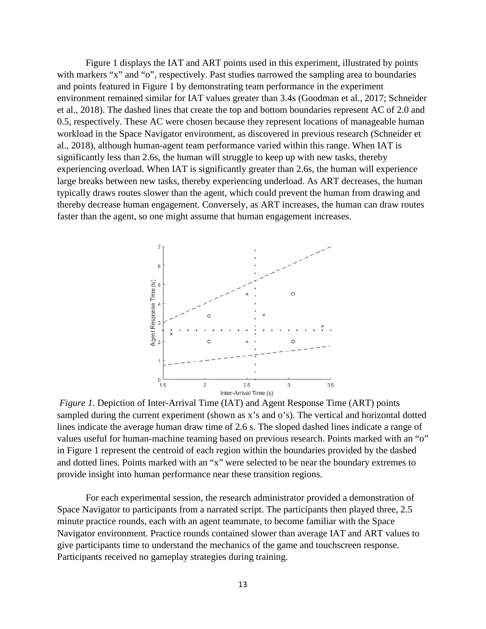Figure 1 displays the IAT and ART points used in this experiment, illustrated by points with markers "x" and "o", respectively. Past studies narrowed the sampling area to boundaries and points featured in Figure 1 by demonstrating team performance in the experiment environment remained similar for IAT values greater than 3.4s (Goodman et al., 2017; Schneider et al., 2018). The dashed lines that create the top and bottom boundaries represent AC of 2.0 and 0.5, respectively. These AC were chosen because they represent locations of manageable human workload in the Space Navigator environment, as discovered in previous research (Schneider et al., 2018), although human-agent team performance varied within this range. When IAT is significantly less than 2.6s, the human will struggle to keep up with new tasks, thereby experiencing overload. When IAT is significantly greater than 2.6s, the human will experience large breaks between new tasks, thereby experiencing underload. As ART decreases, the human typically draws routes slower than the agent, which could prevent the human from drawing and thereby decrease human engagement. Conversely, as ART increases, the human can draw routes faster than the agent, so one might assume that human engagement increases.



*Figure 1*. Depiction of Inter-Arrival Time (IAT) and Agent Response Time (ART) points sampled during the current experiment (shown as x's and o's). The vertical and horizontal dotted lines indicate the average human draw time of 2.6 s. The sloped dashed lines indicate a range of values useful for human-machine teaming based on previous research. Points marked with an "o" in Figure 1 represent the centroid of each region within the boundaries provided by the dashed and dotted lines. Points marked with an "x" were selected to be near the boundary extremes to provide insight into human performance near these transition regions.

For each experimental session, the research administrator provided a demonstration of Space Navigator to participants from a narrated script. The participants then played three, 2.5 minute practice rounds, each with an agent teammate, to become familiar with the Space Navigator environment. Practice rounds contained slower than average IAT and ART values to give participants time to understand the mechanics of the game and touchscreen response. Participants received no gameplay strategies during training.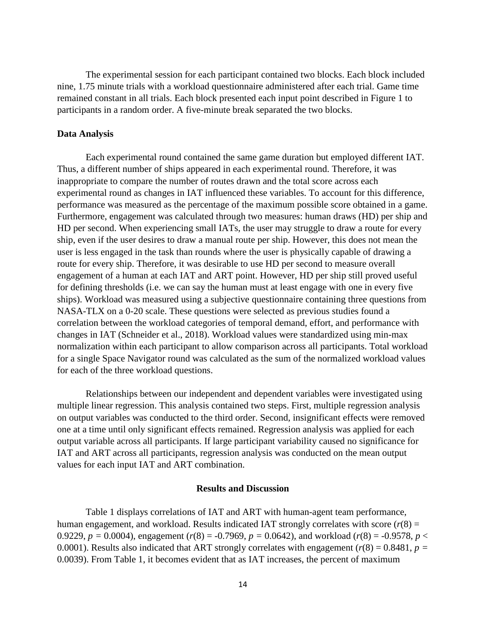The experimental session for each participant contained two blocks. Each block included nine, 1.75 minute trials with a workload questionnaire administered after each trial. Game time remained constant in all trials. Each block presented each input point described in Figure 1 to participants in a random order. A five-minute break separated the two blocks.

#### **Data Analysis**

Each experimental round contained the same game duration but employed different IAT. Thus, a different number of ships appeared in each experimental round. Therefore, it was inappropriate to compare the number of routes drawn and the total score across each experimental round as changes in IAT influenced these variables. To account for this difference, performance was measured as the percentage of the maximum possible score obtained in a game. Furthermore, engagement was calculated through two measures: human draws (HD) per ship and HD per second. When experiencing small IATs, the user may struggle to draw a route for every ship, even if the user desires to draw a manual route per ship. However, this does not mean the user is less engaged in the task than rounds where the user is physically capable of drawing a route for every ship. Therefore, it was desirable to use HD per second to measure overall engagement of a human at each IAT and ART point. However, HD per ship still proved useful for defining thresholds (i.e. we can say the human must at least engage with one in every five ships). Workload was measured using a subjective questionnaire containing three questions from NASA-TLX on a 0-20 scale. These questions were selected as previous studies found a correlation between the workload categories of temporal demand, effort, and performance with changes in IAT (Schneider et al., 2018). Workload values were standardized using min-max normalization within each participant to allow comparison across all participants. Total workload for a single Space Navigator round was calculated as the sum of the normalized workload values for each of the three workload questions.

Relationships between our independent and dependent variables were investigated using multiple linear regression. This analysis contained two steps. First, multiple regression analysis on output variables was conducted to the third order. Second, insignificant effects were removed one at a time until only significant effects remained. Regression analysis was applied for each output variable across all participants. If large participant variability caused no significance for IAT and ART across all participants, regression analysis was conducted on the mean output values for each input IAT and ART combination.

### **Results and Discussion**

Table 1 displays correlations of IAT and ART with human-agent team performance, human engagement, and workload. Results indicated IAT strongly correlates with score  $(r(8) =$ 0.9229,  $p = 0.0004$ ), engagement ( $r(8) = -0.7969$ ,  $p = 0.0642$ ), and workload ( $r(8) = -0.9578$ ,  $p <$ 0.0001). Results also indicated that ART strongly correlates with engagement  $(r(8) = 0.8481, p =$ 0.0039). From Table 1, it becomes evident that as IAT increases, the percent of maximum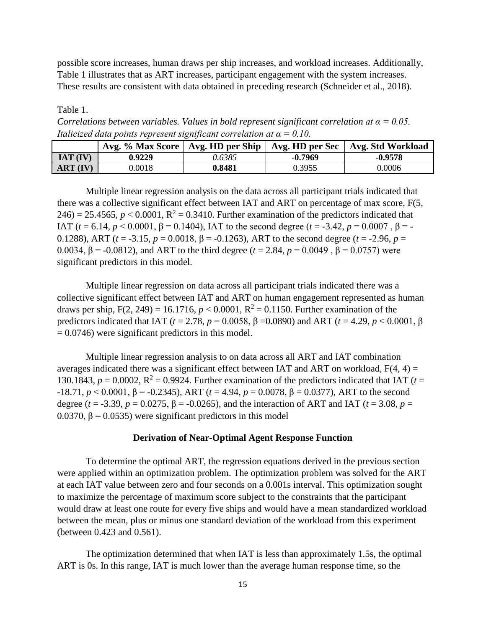possible score increases, human draws per ship increases, and workload increases. Additionally, Table 1 illustrates that as ART increases, participant engagement with the system increases. These results are consistent with data obtained in preceding research (Schneider et al., 2018).

Table 1.

*Correlations between variables. Values in bold represent significant correlation at α = 0.05. Italicized data points represent significant correlation at*  $\alpha = 0.10$ *.* 

|              | Avg. % Max Score   Avg. HD per Ship |        | Avg. HD per Sec $\vert$ | Avg. Std Workload |
|--------------|-------------------------------------|--------|-------------------------|-------------------|
| $IAT$ $(IV)$ | 0.9229                              | 0.6385 | $-0.7969$               | $-0.9578$         |
| ART (IV)     | 0.0018                              | 0.8481 | 0.3955                  | 0.0006            |

Multiple linear regression analysis on the data across all participant trials indicated that there was a collective significant effect between IAT and ART on percentage of max score, F(5,  $246$ ) = 25.4565,  $p < 0.0001$ ,  $R^2 = 0.3410$ . Further examination of the predictors indicated that IAT (*t* = 6.14, *p* < 0.0001, β = 0.1404), IAT to the second degree (*t* = -3.42, *p* = 0.0007, β = -0.1288), ART ( $t = -3.15$ ,  $p = 0.0018$ ,  $β = -0.1263$ ), ART to the second degree ( $t = -2.96$ ,  $p =$ 0.0034, β = -0.0812), and ART to the third degree ( $t = 2.84$ ,  $p = 0.0049$ , β = 0.0757) were significant predictors in this model.

Multiple linear regression on data across all participant trials indicated there was a collective significant effect between IAT and ART on human engagement represented as human draws per ship,  $F(2, 249) = 16.1716$ ,  $p < 0.0001$ ,  $R^2 = 0.1150$ . Further examination of the predictors indicated that IAT (*t* = 2.78, *p* = 0.0058, β =0.0890) and ART (*t* = 4.29, *p* < 0.0001, β  $= 0.0746$ ) were significant predictors in this model.

Multiple linear regression analysis to on data across all ART and IAT combination averages indicated there was a significant effect between IAT and ART on workload,  $F(4, 4) =$ 130.1843,  $p = 0.0002$ ,  $R^2 = 0.9924$ . Further examination of the predictors indicated that IAT ( $t =$ -18.71, *p* < 0.0001, β = -0.2345), ART (*t* = 4.94, *p* = 0.0078, β = 0.0377), ART to the second degree ( $t = -3.39$ ,  $p = 0.0275$ ,  $\beta = -0.0265$ ), and the interaction of ART and IAT ( $t = 3.08$ ,  $p =$ 0.0370,  $\beta$  = 0.0535) were significant predictors in this model

#### **Derivation of Near-Optimal Agent Response Function**

To determine the optimal ART, the regression equations derived in the previous section were applied within an optimization problem. The optimization problem was solved for the ART at each IAT value between zero and four seconds on a 0.001s interval. This optimization sought to maximize the percentage of maximum score subject to the constraints that the participant would draw at least one route for every five ships and would have a mean standardized workload between the mean, plus or minus one standard deviation of the workload from this experiment (between 0.423 and 0.561).

The optimization determined that when IAT is less than approximately 1.5s, the optimal ART is 0s. In this range, IAT is much lower than the average human response time, so the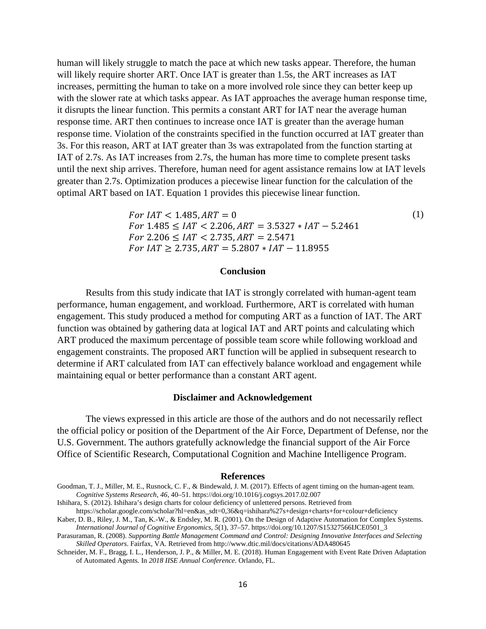human will likely struggle to match the pace at which new tasks appear. Therefore, the human will likely require shorter ART. Once IAT is greater than 1.5s, the ART increases as IAT increases, permitting the human to take on a more involved role since they can better keep up with the slower rate at which tasks appear. As IAT approaches the average human response time, it disrupts the linear function. This permits a constant ART for IAT near the average human response time. ART then continues to increase once IAT is greater than the average human response time. Violation of the constraints specified in the function occurred at IAT greater than 3s. For this reason, ART at IAT greater than 3s was extrapolated from the function starting at IAT of 2.7s. As IAT increases from 2.7s, the human has more time to complete present tasks until the next ship arrives. Therefore, human need for agent assistance remains low at IAT levels greater than 2.7s. Optimization produces a piecewise linear function for the calculation of the optimal ART based on IAT. Equation 1 provides this piecewise linear function.

> $For IAT < 1.485, ART = 0$  (1)  $For 1.485 \leq IAT < 2.206, ART = 3.5327 * IAT - 5.2461$  $For 2.206 \leq IAT < 2.735, ART = 2.5471$  $For IAT \geq 2.735$ ,  $ART = 5.2807 * IAT - 11.8955$

#### **Conclusion**

Results from this study indicate that IAT is strongly correlated with human-agent team performance, human engagement, and workload. Furthermore, ART is correlated with human engagement. This study produced a method for computing ART as a function of IAT. The ART function was obtained by gathering data at logical IAT and ART points and calculating which ART produced the maximum percentage of possible team score while following workload and engagement constraints. The proposed ART function will be applied in subsequent research to determine if ART calculated from IAT can effectively balance workload and engagement while maintaining equal or better performance than a constant ART agent.

#### **Disclaimer and Acknowledgement**

The views expressed in this article are those of the authors and do not necessarily reflect the official policy or position of the Department of the Air Force, Department of Defense, nor the U.S. Government. The authors gratefully acknowledge the financial support of the Air Force Office of Scientific Research, Computational Cognition and Machine Intelligence Program.

#### **References**

Ishihara, S. (2012). Ishihara's design charts for colour deficiency of unlettered persons. Retrieved from

Schneider, M. F., Bragg, I. L., Henderson, J. P., & Miller, M. E. (2018). Human Engagement with Event Rate Driven Adaptation of Automated Agents. In *2018 IISE Annual Conference*. Orlando, FL.

Goodman, T. J., Miller, M. E., Rusnock, C. F., & Bindewald, J. M. (2017). Effects of agent timing on the human-agent team. *Cognitive Systems Research*, *46*, 40–51. https://doi.org/10.1016/j.cogsys.2017.02.007

https://scholar.google.com/scholar?hl=en&as\_sdt=0,36&q=ishihara%27s+design+charts+for+colour+deficiency Kaber, D. B., Riley, J. M., Tan, K.-W., & Endsley, M. R. (2001). On the Design of Adaptive Automation for Complex Systems.

*International Journal of Cognitive Ergonomics*, *5*(1), 37–57. https://doi.org/10.1207/S15327566IJCE0501\_3 Parasuraman, R. (2008). *Supporting Battle Management Command and Control: Designing Innovative Interfaces and Selecting* 

*Skilled Operators*. Fairfax, VA. Retrieved from http://www.dtic.mil/docs/citations/ADA480645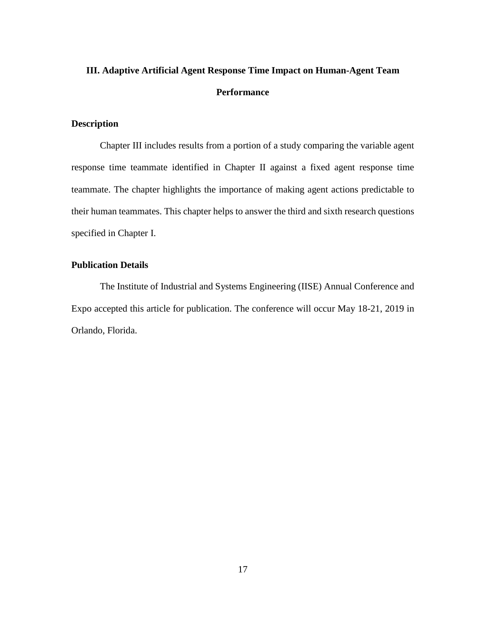# <span id="page-27-0"></span>**III. Adaptive Artificial Agent Response Time Impact on Human-Agent Team Performance**

# <span id="page-27-1"></span>**Description**

Chapter III includes results from a portion of a study comparing the variable agent response time teammate identified in Chapter II against a fixed agent response time teammate. The chapter highlights the importance of making agent actions predictable to their human teammates. This chapter helps to answer the third and sixth research questions specified in Chapter I.

# <span id="page-27-2"></span>**Publication Details**

The Institute of Industrial and Systems Engineering (IISE) Annual Conference and Expo accepted this article for publication. The conference will occur May 18-21, 2019 in Orlando, Florida.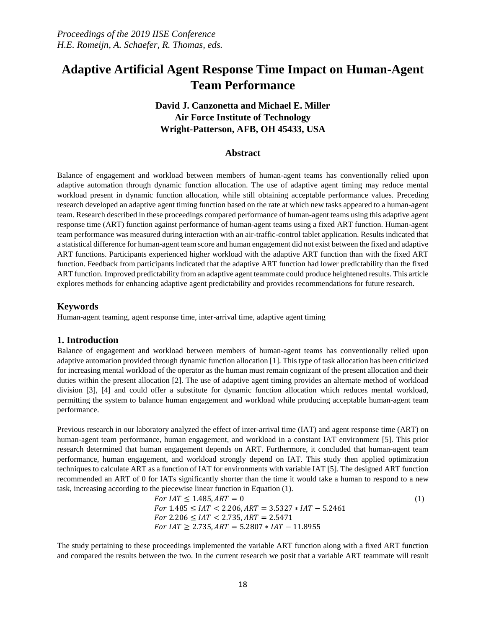# **Adaptive Artificial Agent Response Time Impact on Human-Agent Team Performance**

# **David J. Canzonetta and Michael E. Miller Air Force Institute of Technology Wright-Patterson, AFB, OH 45433, USA**

#### **Abstract**

Balance of engagement and workload between members of human-agent teams has conventionally relied upon adaptive automation through dynamic function allocation. The use of adaptive agent timing may reduce mental workload present in dynamic function allocation, while still obtaining acceptable performance values. Preceding research developed an adaptive agent timing function based on the rate at which new tasks appeared to a human-agent team. Research described in these proceedings compared performance of human-agent teams using this adaptive agent response time (ART) function against performance of human-agent teams using a fixed ART function. Human-agent team performance was measured during interaction with an air-traffic-control tablet application. Results indicated that a statistical difference for human-agent team score and human engagement did not exist between the fixed and adaptive ART functions. Participants experienced higher workload with the adaptive ART function than with the fixed ART function. Feedback from participants indicated that the adaptive ART function had lower predictability than the fixed ART function. Improved predictability from an adaptive agent teammate could produce heightened results. This article explores methods for enhancing adaptive agent predictability and provides recommendations for future research.

#### **Keywords**

Human-agent teaming, agent response time, inter-arrival time, adaptive agent timing

#### **1. Introduction**

Balance of engagement and workload between members of human-agent teams has conventionally relied upon adaptive automation provided through dynamic function allocation [1]. This type of task allocation has been criticized for increasing mental workload of the operator as the human must remain cognizant of the present allocation and their duties within the present allocation [2]. The use of adaptive agent timing provides an alternate method of workload division [3], [4] and could offer a substitute for dynamic function allocation which reduces mental workload, permitting the system to balance human engagement and workload while producing acceptable human-agent team performance.

Previous research in our laboratory analyzed the effect of inter-arrival time (IAT) and agent response time (ART) on human-agent team performance, human engagement, and workload in a constant IAT environment [5]. This prior research determined that human engagement depends on ART. Furthermore, it concluded that human-agent team performance, human engagement, and workload strongly depend on IAT. This study then applied optimization techniques to calculate ART as a function of IAT for environments with variable IAT [5]. The designed ART function recommended an ART of 0 for IATs significantly shorter than the time it would take a human to respond to a new task, increasing according to the piecewise linear function in Equation [\(1\).](#page-28-0)

<span id="page-28-0"></span>For IAT ≤ 1.485, 
$$
ART = 0
$$
 (1)  
For 1.485 ≤ IAT < 2.206,  $ART = 3.5327 * IAT - 5.2461$   
For 2.206 ≤ IAT < 2.735,  $ART = 2.5471$   
For IAT ≥ 2.735,  $ART = 5.2807 * IAT - 11.8955$ 

The study pertaining to these proceedings implemented the variable ART function along with a fixed ART function and compared the results between the two. In the current research we posit that a variable ART teammate will result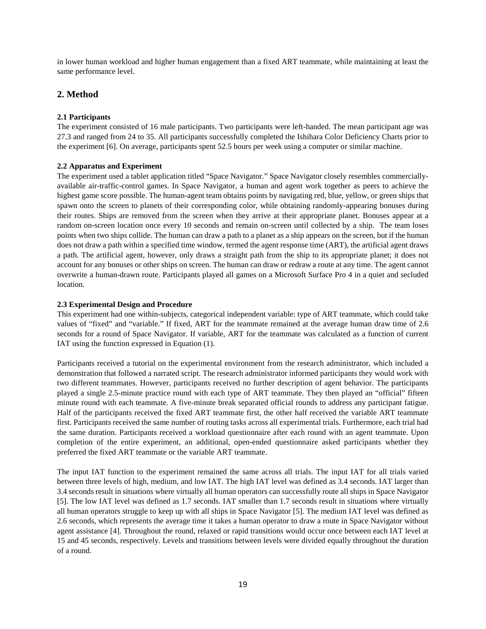in lower human workload and higher human engagement than a fixed ART teammate, while maintaining at least the same performance level.

# **2. Method**

#### **2.1 Participants**

The experiment consisted of 16 male participants. Two participants were left-handed. The mean participant age was 27.3 and ranged from 24 to 35. All participants successfully completed the Ishihara Color Deficiency Charts prior to the experiment [6]. On average, participants spent 52.5 hours per week using a computer or similar machine.

#### **2.2 Apparatus and Experiment**

The experiment used a tablet application titled "Space Navigator." Space Navigator closely resembles commerciallyavailable air-traffic-control games. In Space Navigator, a human and agent work together as peers to achieve the highest game score possible. The human-agent team obtains points by navigating red, blue, yellow, or green ships that spawn onto the screen to planets of their corresponding color, while obtaining randomly-appearing bonuses during their routes. Ships are removed from the screen when they arrive at their appropriate planet. Bonuses appear at a random on-screen location once every 10 seconds and remain on-screen until collected by a ship. The team loses points when two ships collide. The human can draw a path to a planet as a ship appears on the screen, but if the human does not draw a path within a specified time window, termed the agent response time (ART), the artificial agent draws a path. The artificial agent, however, only draws a straight path from the ship to its appropriate planet; it does not account for any bonuses or other ships on screen. The human can draw or redraw a route at any time. The agent cannot overwrite a human-drawn route. Participants played all games on a Microsoft Surface Pro 4 in a quiet and secluded location.

#### **2.3 Experimental Design and Procedure**

This experiment had one within-subjects, categorical independent variable: type of ART teammate, which could take values of "fixed" and "variable." If fixed, ART for the teammate remained at the average human draw time of 2.6 seconds for a round of Space Navigator. If variable, ART for the teammate was calculated as a function of current IAT using the function expressed in Equatio[n \(1\).](#page-28-0)

Participants received a tutorial on the experimental environment from the research administrator, which included a demonstration that followed a narrated script. The research administrator informed participants they would work with two different teammates. However, participants received no further description of agent behavior. The participants played a single 2.5-minute practice round with each type of ART teammate. They then played an "official" fifteen minute round with each teammate. A five-minute break separated official rounds to address any participant fatigue. Half of the participants received the fixed ART teammate first, the other half received the variable ART teammate first. Participants received the same number of routing tasks across all experimental trials. Furthermore, each trial had the same duration. Participants received a workload questionnaire after each round with an agent teammate. Upon completion of the entire experiment, an additional, open-ended questionnaire asked participants whether they preferred the fixed ART teammate or the variable ART teammate.

The input IAT function to the experiment remained the same across all trials. The input IAT for all trials varied between three levels of high, medium, and low IAT. The high IAT level was defined as 3.4 seconds. IAT larger than 3.4 seconds result in situations where virtually all human operators can successfully route all ships in Space Navigator [5]. The low IAT level was defined as 1.7 seconds. IAT smaller than 1.7 seconds result in situations where virtually all human operators struggle to keep up with all ships in Space Navigator [5]. The medium IAT level was defined as 2.6 seconds, which represents the average time it takes a human operator to draw a route in Space Navigator without agent assistance [4]. Throughout the round, relaxed or rapid transitions would occur once between each IAT level at 15 and 45 seconds, respectively. Levels and transitions between levels were divided equally throughout the duration of a round.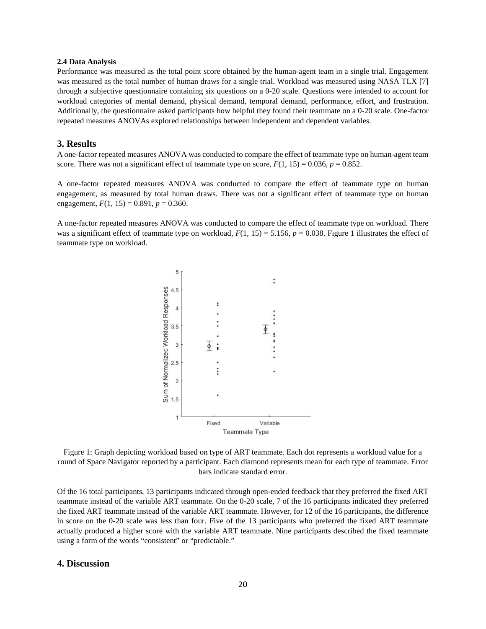#### **2.4 Data Analysis**

Performance was measured as the total point score obtained by the human-agent team in a single trial. Engagement was measured as the total number of human draws for a single trial. Workload was measured using NASA TLX [7] through a subjective questionnaire containing six questions on a 0-20 scale. Questions were intended to account for workload categories of mental demand, physical demand, temporal demand, performance, effort, and frustration. Additionally, the questionnaire asked participants how helpful they found their teammate on a 0-20 scale. One-factor repeated measures ANOVAs explored relationships between independent and dependent variables.

#### **3. Results**

A one-factor repeated measures ANOVA was conducted to compare the effect of teammate type on human-agent team score. There was not a significant effect of teammate type on score,  $F(1, 15) = 0.036$ ,  $p = 0.852$ .

A one-factor repeated measures ANOVA was conducted to compare the effect of teammate type on human engagement, as measured by total human draws. There was not a significant effect of teammate type on human engagement,  $F(1, 15) = 0.891$ ,  $p = 0.360$ .

A one-factor repeated measures ANOVA was conducted to compare the effect of teammate type on workload. There was a significant effect of teammate type on workload,  $F(1, 15) = 5.156$ ,  $p = 0.038$ . Figure 1 illustrates the effect of teammate type on workload.



Figure 1: Graph depicting workload based on type of ART teammate. Each dot represents a workload value for a round of Space Navigator reported by a participant. Each diamond represents mean for each type of teammate. Error bars indicate standard error.

Of the 16 total participants, 13 participants indicated through open-ended feedback that they preferred the fixed ART teammate instead of the variable ART teammate. On the 0-20 scale, 7 of the 16 participants indicated they preferred the fixed ART teammate instead of the variable ART teammate. However, for 12 of the 16 participants, the difference in score on the 0-20 scale was less than four. Five of the 13 participants who preferred the fixed ART teammate actually produced a higher score with the variable ART teammate. Nine participants described the fixed teammate using a form of the words "consistent" or "predictable."

#### **4. Discussion**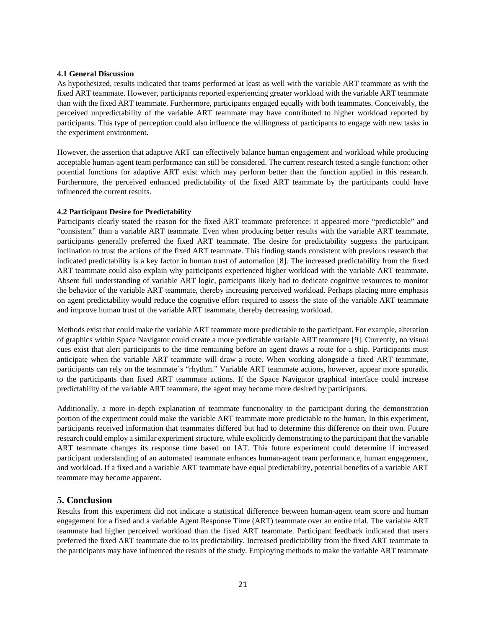#### **4.1 General Discussion**

As hypothesized, results indicated that teams performed at least as well with the variable ART teammate as with the fixed ART teammate. However, participants reported experiencing greater workload with the variable ART teammate than with the fixed ART teammate. Furthermore, participants engaged equally with both teammates. Conceivably, the perceived unpredictability of the variable ART teammate may have contributed to higher workload reported by participants. This type of perception could also influence the willingness of participants to engage with new tasks in the experiment environment.

However, the assertion that adaptive ART can effectively balance human engagement and workload while producing acceptable human-agent team performance can still be considered. The current research tested a single function; other potential functions for adaptive ART exist which may perform better than the function applied in this research. Furthermore, the perceived enhanced predictability of the fixed ART teammate by the participants could have influenced the current results.

#### **4.2 Participant Desire for Predictability**

Participants clearly stated the reason for the fixed ART teammate preference: it appeared more "predictable" and "consistent" than a variable ART teammate. Even when producing better results with the variable ART teammate, participants generally preferred the fixed ART teammate. The desire for predictability suggests the participant inclination to trust the actions of the fixed ART teammate. This finding stands consistent with previous research that indicated predictability is a key factor in human trust of automation [8]. The increased predictability from the fixed ART teammate could also explain why participants experienced higher workload with the variable ART teammate. Absent full understanding of variable ART logic, participants likely had to dedicate cognitive resources to monitor the behavior of the variable ART teammate, thereby increasing perceived workload. Perhaps placing more emphasis on agent predictability would reduce the cognitive effort required to assess the state of the variable ART teammate and improve human trust of the variable ART teammate, thereby decreasing workload.

Methods exist that could make the variable ART teammate more predictable to the participant. For example, alteration of graphics within Space Navigator could create a more predictable variable ART teammate [9]. Currently, no visual cues exist that alert participants to the time remaining before an agent draws a route for a ship. Participants must anticipate when the variable ART teammate will draw a route. When working alongside a fixed ART teammate, participants can rely on the teammate's "rhythm." Variable ART teammate actions, however, appear more sporadic to the participants than fixed ART teammate actions. If the Space Navigator graphical interface could increase predictability of the variable ART teammate, the agent may become more desired by participants.

Additionally, a more in-depth explanation of teammate functionality to the participant during the demonstration portion of the experiment could make the variable ART teammate more predictable to the human. In this experiment, participants received information that teammates differed but had to determine this difference on their own. Future research could employ a similar experiment structure, while explicitly demonstrating to the participant that the variable ART teammate changes its response time based on IAT. This future experiment could determine if increased participant understanding of an automated teammate enhances human-agent team performance, human engagement, and workload. If a fixed and a variable ART teammate have equal predictability, potential benefits of a variable ART teammate may become apparent.

# **5. Conclusion**

Results from this experiment did not indicate a statistical difference between human-agent team score and human engagement for a fixed and a variable Agent Response Time (ART) teammate over an entire trial. The variable ART teammate had higher perceived workload than the fixed ART teammate. Participant feedback indicated that users preferred the fixed ART teammate due to its predictability. Increased predictability from the fixed ART teammate to the participants may have influenced the results of the study. Employing methods to make the variable ART teammate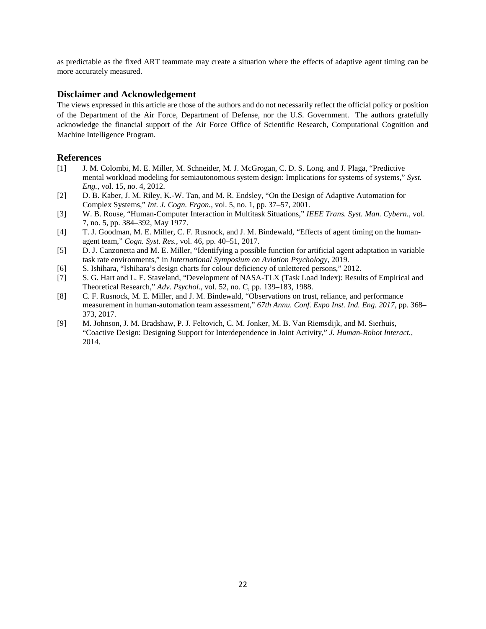as predictable as the fixed ART teammate may create a situation where the effects of adaptive agent timing can be more accurately measured.

# **Disclaimer and Acknowledgement**

The views expressed in this article are those of the authors and do not necessarily reflect the official policy or position of the Department of the Air Force, Department of Defense, nor the U.S. Government. The authors gratefully acknowledge the financial support of the Air Force Office of Scientific Research, Computational Cognition and Machine Intelligence Program.

#### **References**

- [1] J. M. Colombi, M. E. Miller, M. Schneider, M. J. McGrogan, C. D. S. Long, and J. Plaga, "Predictive mental workload modeling for semiautonomous system design: Implications for systems of systems," *Syst. Eng.*, vol. 15, no. 4, 2012.
- [2] D. B. Kaber, J. M. Riley, K.-W. Tan, and M. R. Endsley, "On the Design of Adaptive Automation for Complex Systems," *Int. J. Cogn. Ergon.*, vol. 5, no. 1, pp. 37–57, 2001.
- [3] W. B. Rouse, "Human-Computer Interaction in Multitask Situations," *IEEE Trans. Syst. Man. Cybern.*, vol. 7, no. 5, pp. 384–392, May 1977.
- [4] T. J. Goodman, M. E. Miller, C. F. Rusnock, and J. M. Bindewald, "Effects of agent timing on the humanagent team," *Cogn. Syst. Res.*, vol. 46, pp. 40–51, 2017.
- [5] D. J. Canzonetta and M. E. Miller, "Identifying a possible function for artificial agent adaptation in variable task rate environments," in *International Symposium on Aviation Psychology*, 2019.
- [6] S. Ishihara, "Ishihara's design charts for colour deficiency of unlettered persons," 2012.
- [7] S. G. Hart and L. E. Staveland, "Development of NASA-TLX (Task Load Index): Results of Empirical and Theoretical Research," *Adv. Psychol.*, vol. 52, no. C, pp. 139–183, 1988.
- [8] C. F. Rusnock, M. E. Miller, and J. M. Bindewald, "Observations on trust, reliance, and performance measurement in human-automation team assessment," *67th Annu. Conf. Expo Inst. Ind. Eng. 2017*, pp. 368– 373, 2017.
- [9] M. Johnson, J. M. Bradshaw, P. J. Feltovich, C. M. Jonker, M. B. Van Riemsdijk, and M. Sierhuis, "Coactive Design: Designing Support for Interdependence in Joint Activity," *J. Human-Robot Interact.*, 2014.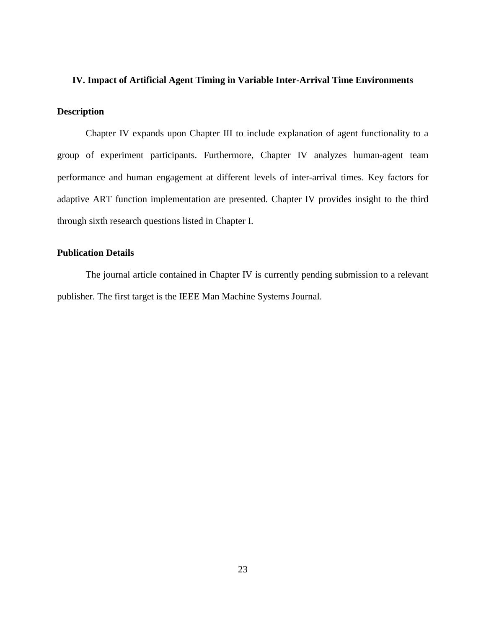# <span id="page-33-0"></span>**IV. Impact of Artificial Agent Timing in Variable Inter-Arrival Time Environments**

# <span id="page-33-1"></span>**Description**

Chapter IV expands upon Chapter III to include explanation of agent functionality to a group of experiment participants. Furthermore, Chapter IV analyzes human-agent team performance and human engagement at different levels of inter-arrival times. Key factors for adaptive ART function implementation are presented. Chapter IV provides insight to the third through sixth research questions listed in Chapter I.

# <span id="page-33-2"></span>**Publication Details**

The journal article contained in Chapter IV is currently pending submission to a relevant publisher. The first target is the IEEE Man Machine Systems Journal.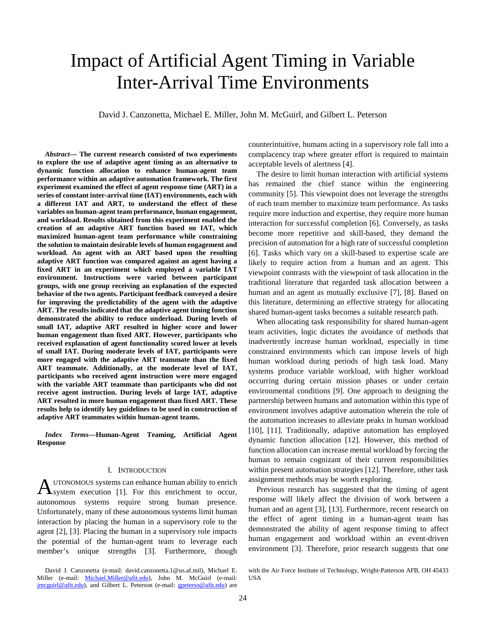# Impact of Artificial Agent Timing in Variable Inter-Arrival Time Environments

David J. Canzonetta, Michael E. Miller, John M. McGuirl, and Gilbert L. Peterson

*Abstract***— The current research consisted of two experiments to explore the use of adaptive agent timing as an alternative to dynamic function allocation to enhance human-agent team performance within an adaptive automation framework. The first experiment examined the effect of agent response time (ART) in a series of constant inter-arrival time (IAT) environments, each with a different IAT and ART, to understand the effect of these variables on human-agent team performance, human engagement, and workload. Results obtained from this experiment enabled the creation of an adaptive ART function based on IAT, which maximized human-agent team performance while constraining the solution to maintain desirable levels of human engagement and workload. An agent with an ART based upon the resulting adaptive ART function was compared against an agent having a fixed ART in an experiment which employed a variable IAT environment. Instructions were varied between participant groups, with one group receiving an explanation of the expected behavior of the two agents. Participant feedback conveyed a desire for improving the predictability of the agent with the adaptive ART. The results indicated that the adaptive agent timing function demonstrated the ability to reduce underload. During levels of small IAT, adaptive ART resulted in higher score and lower human engagement than fixed ART. However, participants who received explanation of agent functionality scored lower at levels of small IAT. During moderate levels of IAT, participants were more engaged with the adaptive ART teammate than the fixed ART teammate. Additionally, at the moderate level of IAT, participants who received agent instruction were more engaged with the variable ART teammate than participants who did not receive agent instruction. During levels of large IAT, adaptive ART resulted in more human engagement than fixed ART. These results help to identify key guidelines to be used in construction of adaptive ART teammates within human-agent teams.**

*Index Terms***—Human-Agent Teaming, Artificial Agent Response**

#### I. INTRODUCTION

UTONOMOUS systems can enhance human ability to enrich  $A$  UTONOMOUS systems can enhance human ability to enrich system execution [1]. For this enrichment to occur, autonomous systems require strong human presence. Unfortunately, many of these autonomous systems limit human interaction by placing the human in a supervisory role to the agent [2], [3]. Placing the human in a supervisory role impacts the potential of the human-agent team to leverage each member's unique strengths [3]. Furthermore, though

David J. Canzonetta (e-mail: david.canzonetta.1@us.af.mil), Michael E. Miller (e-mail: [Michael.Miller@afit.edu\)](mailto:Michael.Miller@afit.edu), John M. McGuirl (e-mail: [jmcguirl@afit.edu\)](mailto:jmcguirl@afit.edu), and Gilbert L. Peterson (e-mail: *gpeterso@afit.edu*) are counterintuitive, humans acting in a supervisory role fall into a complacency trap where greater effort is required to maintain acceptable levels of alertness [4].

The desire to limit human interaction with artificial systems has remained the chief stance within the engineering community [5]. This viewpoint does not leverage the strengths of each team member to maximize team performance. As tasks require more induction and expertise, they require more human interaction for successful completion [6]. Conversely, as tasks become more repetitive and skill-based, they demand the precision of automation for a high rate of successful completion [6]. Tasks which vary on a skill-based to expertise scale are likely to require action from a human and an agent. This viewpoint contrasts with the viewpoint of task allocation in the traditional literature that regarded task allocation between a human and an agent as mutually exclusive [7], [8]. Based on this literature, determining an effective strategy for allocating shared human-agent tasks becomes a suitable research path.

When allocating task responsibility for shared human-agent team activities, logic dictates the avoidance of methods that inadvertently increase human workload, especially in time constrained environments which can impose levels of high human workload during periods of high task load. Many systems produce variable workload, with higher workload occurring during certain mission phases or under certain environmental conditions [9]. One approach to designing the partnership between humans and automation within this type of environment involves adaptive automation wherein the role of the automation increases to alleviate peaks in human workload [10], [11]. Traditionally, adaptive automation has employed dynamic function allocation [12]. However, this method of function allocation can increase mental workload by forcing the human to remain cognizant of their current responsibilities within present automation strategies [12]. Therefore, other task assignment methods may be worth exploring.

Previous research has suggested that the timing of agent response will likely affect the division of work between a human and an agent [3], [13]. Furthermore, recent research on the effect of agent timing in a human-agent team has demonstrated the ability of agent response timing to affect human engagement and workload within an event-driven environment [3]. Therefore, prior research suggests that one

with the Air Force Institute of Technology, Wright-Patterson AFB, OH 45433 USA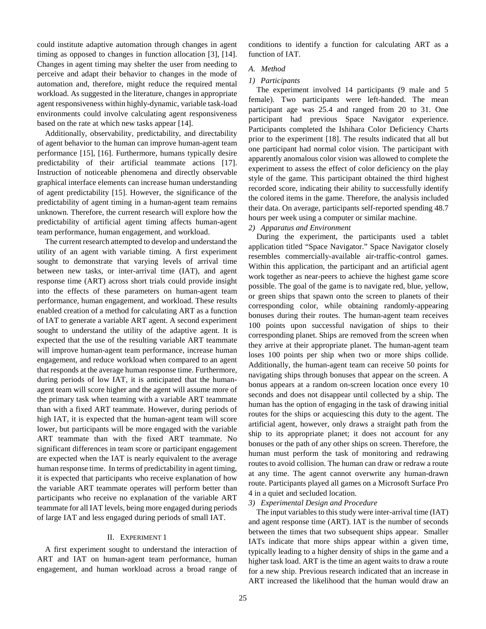could institute adaptive automation through changes in agent timing as opposed to changes in function allocation [3], [14]. Changes in agent timing may shelter the user from needing to perceive and adapt their behavior to changes in the mode of automation and, therefore, might reduce the required mental workload. As suggested in the literature, changes in appropriate agent responsiveness within highly-dynamic, variable task-load environments could involve calculating agent responsiveness based on the rate at which new tasks appear [14].

Additionally, observability, predictability, and directability of agent behavior to the human can improve human-agent team performance [15], [16]. Furthermore, humans typically desire predictability of their artificial teammate actions [17]. Instruction of noticeable phenomena and directly observable graphical interface elements can increase human understanding of agent predictability [15]. However, the significance of the predictability of agent timing in a human-agent team remains unknown. Therefore, the current research will explore how the predictability of artificial agent timing affects human-agent team performance, human engagement, and workload.

The current research attempted to develop and understand the utility of an agent with variable timing. A first experiment sought to demonstrate that varying levels of arrival time between new tasks, or inter-arrival time (IAT), and agent response time (ART) across short trials could provide insight into the effects of these parameters on human-agent team performance, human engagement, and workload. These results enabled creation of a method for calculating ART as a function of IAT to generate a variable ART agent. A second experiment sought to understand the utility of the adaptive agent. It is expected that the use of the resulting variable ART teammate will improve human-agent team performance, increase human engagement, and reduce workload when compared to an agent that responds at the average human response time. Furthermore, during periods of low IAT, it is anticipated that the humanagent team will score higher and the agent will assume more of the primary task when teaming with a variable ART teammate than with a fixed ART teammate. However, during periods of high IAT, it is expected that the human-agent team will score lower, but participants will be more engaged with the variable ART teammate than with the fixed ART teammate. No significant differences in team score or participant engagement are expected when the IAT is nearly equivalent to the average human response time. In terms of predictability in agent timing, it is expected that participants who receive explanation of how the variable ART teammate operates will perform better than participants who receive no explanation of the variable ART teammate for all IAT levels, being more engaged during periods of large IAT and less engaged during periods of small IAT.

#### II. EXPERIMENT 1

A first experiment sought to understand the interaction of ART and IAT on human-agent team performance, human engagement, and human workload across a broad range of conditions to identify a function for calculating ART as a function of IAT.

#### *A. Method*

#### *1) Participants*

The experiment involved 14 participants (9 male and 5 female). Two participants were left-handed. The mean participant age was 25.4 and ranged from 20 to 31. One participant had previous Space Navigator experience. Participants completed the Ishihara Color Deficiency Charts prior to the experiment [18]. The results indicated that all but one participant had normal color vision. The participant with apparently anomalous color vision was allowed to complete the experiment to assess the effect of color deficiency on the play style of the game. This participant obtained the third highest recorded score, indicating their ability to successfully identify the colored items in the game. Therefore, the analysis included their data. On average, participants self-reported spending 48.7 hours per week using a computer or similar machine.

#### *2) Apparatus and Environment*

During the experiment, the participants used a tablet application titled "Space Navigator." Space Navigator closely resembles commercially-available air-traffic-control games. Within this application, the participant and an artificial agent work together as near-peers to achieve the highest game score possible. The goal of the game is to navigate red, blue, yellow, or green ships that spawn onto the screen to planets of their corresponding color, while obtaining randomly-appearing bonuses during their routes. The human-agent team receives 100 points upon successful navigation of ships to their corresponding planet. Ships are removed from the screen when they arrive at their appropriate planet. The human-agent team loses 100 points per ship when two or more ships collide. Additionally, the human-agent team can receive 50 points for navigating ships through bonuses that appear on the screen. A bonus appears at a random on-screen location once every 10 seconds and does not disappear until collected by a ship. The human has the option of engaging in the task of drawing initial routes for the ships or acquiescing this duty to the agent. The artificial agent, however, only draws a straight path from the ship to its appropriate planet; it does not account for any bonuses or the path of any other ships on screen. Therefore, the human must perform the task of monitoring and redrawing routes to avoid collision. The human can draw or redraw a route at any time. The agent cannot overwrite any human-drawn route. Participants played all games on a Microsoft Surface Pro 4 in a quiet and secluded location.

#### *3) Experimental Design and Procedure*

The input variables to this study were inter-arrival time (IAT) and agent response time (ART). IAT is the number of seconds between the times that two subsequent ships appear. Smaller IATs indicate that more ships appear within a given time, typically leading to a higher density of ships in the game and a higher task load. ART is the time an agent waits to draw a route for a new ship. Previous research indicated that an increase in ART increased the likelihood that the human would draw an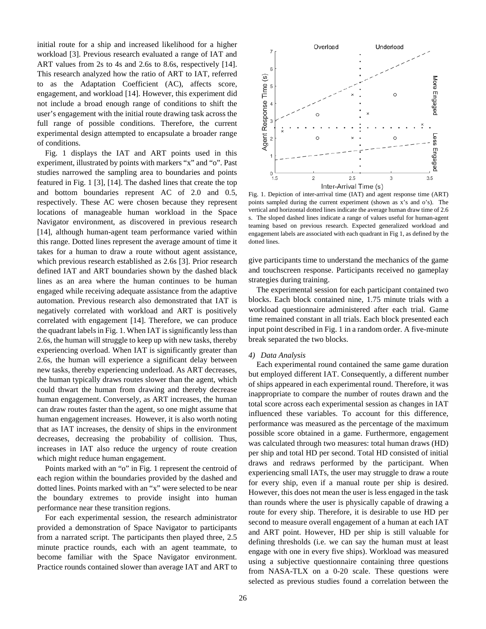initial route for a ship and increased likelihood for a higher workload [3]. Previous research evaluated a range of IAT and ART values from 2s to 4s and 2.6s to 8.6s, respectively [14]. This research analyzed how the ratio of ART to IAT, referred to as the Adaptation Coefficient (AC), affects score, engagement, and workload [14]. However, this experiment did not include a broad enough range of conditions to shift the user's engagement with the initial route drawing task across the full range of possible conditions. Therefore, the current experimental design attempted to encapsulate a broader range of conditions.

Fig. 1 displays the IAT and ART points used in this experiment, illustrated by points with markers "x" and "o". Past studies narrowed the sampling area to boundaries and points featured in Fig. 1 [3], [14]. The dashed lines that create the top and bottom boundaries represent AC of 2.0 and 0.5, respectively. These AC were chosen because they represent locations of manageable human workload in the Space Navigator environment, as discovered in previous research [14], although human-agent team performance varied within this range. Dotted lines represent the average amount of time it takes for a human to draw a route without agent assistance, which previous research established as 2.6s [3]. Prior research defined IAT and ART boundaries shown by the dashed black lines as an area where the human continues to be human engaged while receiving adequate assistance from the adaptive automation. Previous research also demonstrated that IAT is negatively correlated with workload and ART is positively correlated with engagement [14]. Therefore, we can produce the quadrant labels in Fig. 1. When IAT is significantly less than 2.6s, the human will struggle to keep up with new tasks, thereby experiencing overload. When IAT is significantly greater than 2.6s, the human will experience a significant delay between new tasks, thereby experiencing underload. As ART decreases, the human typically draws routes slower than the agent, which could thwart the human from drawing and thereby decrease human engagement. Conversely, as ART increases, the human can draw routes faster than the agent, so one might assume that human engagement increases. However, it is also worth noting that as IAT increases, the density of ships in the environment decreases, decreasing the probability of collision. Thus, increases in IAT also reduce the urgency of route creation which might reduce human engagement.

Points marked with an "o" in Fig. 1 represent the centroid of each region within the boundaries provided by the dashed and dotted lines. Points marked with an "x" were selected to be near the boundary extremes to provide insight into human performance near these transition regions.

For each experimental session, the research administrator provided a demonstration of Space Navigator to participants from a narrated script. The participants then played three, 2.5 minute practice rounds, each with an agent teammate, to become familiar with the Space Navigator environment. Practice rounds contained slower than average IAT and ART to



Fig. 1. Depiction of inter-arrival time (IAT) and agent response time (ART) points sampled during the current experiment (shown as x's and o's). The vertical and horizontal dotted lines indicate the average human draw time of 2.6 s. The sloped dashed lines indicate a range of values useful for human-agent teaming based on previous research. Expected generalized workload and engagement labels are associated with each quadrant in Fig 1, as defined by the dotted lines.

give participants time to understand the mechanics of the game and touchscreen response. Participants received no gameplay strategies during training.

The experimental session for each participant contained two blocks. Each block contained nine, 1.75 minute trials with a workload questionnaire administered after each trial. Game time remained constant in all trials. Each block presented each input point described in Fig. 1 in a random order. A five-minute break separated the two blocks.

#### *4) Data Analysis*

Each experimental round contained the same game duration but employed different IAT. Consequently, a different number of ships appeared in each experimental round. Therefore, it was inappropriate to compare the number of routes drawn and the total score across each experimental session as changes in IAT influenced these variables. To account for this difference, performance was measured as the percentage of the maximum possible score obtained in a game. Furthermore, engagement was calculated through two measures: total human draws (HD) per ship and total HD per second. Total HD consisted of initial draws and redraws performed by the participant. When experiencing small IATs, the user may struggle to draw a route for every ship, even if a manual route per ship is desired. However, this does not mean the user is less engaged in the task than rounds where the user is physically capable of drawing a route for every ship. Therefore, it is desirable to use HD per second to measure overall engagement of a human at each IAT and ART point. However, HD per ship is still valuable for defining thresholds (i.e. we can say the human must at least engage with one in every five ships). Workload was measured using a subjective questionnaire containing three questions from NASA-TLX on a 0-20 scale. These questions were selected as previous studies found a correlation between the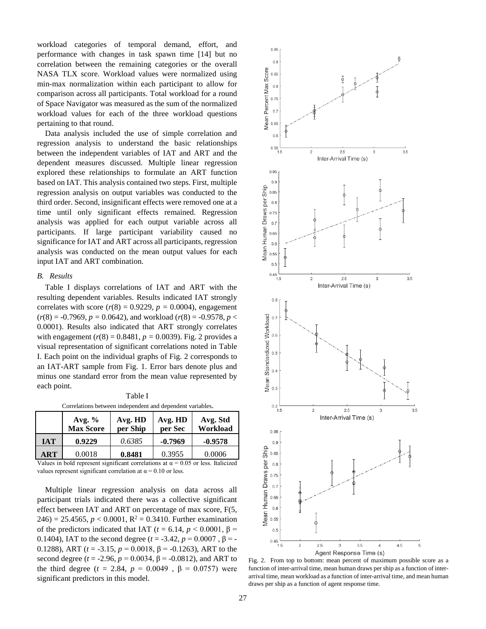workload categories of temporal demand, effort, and performance with changes in task spawn time [14] but no correlation between the remaining categories or the overall NASA TLX score. Workload values were normalized using min-max normalization within each participant to allow for comparison across all participants. Total workload for a round of Space Navigator was measured as the sum of the normalized workload values for each of the three workload questions pertaining to that round.

Data analysis included the use of simple correlation and regression analysis to understand the basic relationships between the independent variables of IAT and ART and the dependent measures discussed. Multiple linear regression explored these relationships to formulate an ART function based on IAT. This analysis contained two steps. First, multiple regression analysis on output variables was conducted to the third order. Second, insignificant effects were removed one at a time until only significant effects remained. Regression analysis was applied for each output variable across all participants. If large participant variability caused no significance for IAT and ART across all participants, regression analysis was conducted on the mean output values for each input IAT and ART combination.

#### *B. Results*

Table I displays correlations of IAT and ART with the resulting dependent variables. Results indicated IAT strongly correlates with score  $(r(8) = 0.9229, p = 0.0004)$ , engagement  $(r(8) = -0.7969, p = 0.0642)$ , and workload  $(r(8) = -0.9578, p <$ 0.0001). Results also indicated that ART strongly correlates with engagement ( $r(8) = 0.8481$ ,  $p = 0.0039$ ). Fig. 2 provides a visual representation of significant correlations noted in Table I. Each point on the individual graphs of Fig. 2 corresponds to an IAT-ART sample from Fig. 1. Error bars denote plus and minus one standard error from the mean value represented by each point.

| Correlations between independent and dependent variables. |                              |                     |                    |                      |  |  |  |  |  |  |  |
|-----------------------------------------------------------|------------------------------|---------------------|--------------------|----------------------|--|--|--|--|--|--|--|
|                                                           | Avg. $%$<br><b>Max Score</b> | Avg. HD<br>per Ship | Avg. HD<br>per Sec | Avg. Std<br>Workload |  |  |  |  |  |  |  |
| <b>IAT</b>                                                | 0.9229                       | 0.6385              | $-0.7969$          | $-0.9578$            |  |  |  |  |  |  |  |
| ART                                                       | 0.0018                       | 0.8481              | 0.3955             | 0.0006               |  |  |  |  |  |  |  |

Table I Correlations between independent and dependent variables.

Values in bold represent significant correlations at  $\alpha = 0.05$  or less. Italicized values represent significant correlation at  $\alpha = 0.10$  or less.

Multiple linear regression analysis on data across all participant trials indicated there was a collective significant effect between IAT and ART on percentage of max score, F(5,  $246$ ) = 25.4565,  $p < 0.0001$ ,  $R^2 = 0.3410$ . Further examination of the predictors indicated that IAT ( $t = 6.14$ ,  $p < 0.0001$ ,  $\beta =$ 0.1404), IAT to the second degree  $(t = -3.42, p = 0.0007, \beta = -1.0007$ 0.1288), ART (*t* = -3.15, *p* = 0.0018, β = -0.1263), ART to the second degree ( $t = -2.96$ ,  $p = 0.0034$ ,  $β = -0.0812$ ), and ART to the third degree (*t* = 2.84, *p* = 0.0049, β = 0.0757) were significant predictors in this model.



Fig. 2. From top to bottom: mean percent of maximum possible score as a function of inter-arrival time, mean human draws per ship as a function of interarrival time, mean workload as a function of inter-arrival time, and mean human draws per ship as a function of agent response time.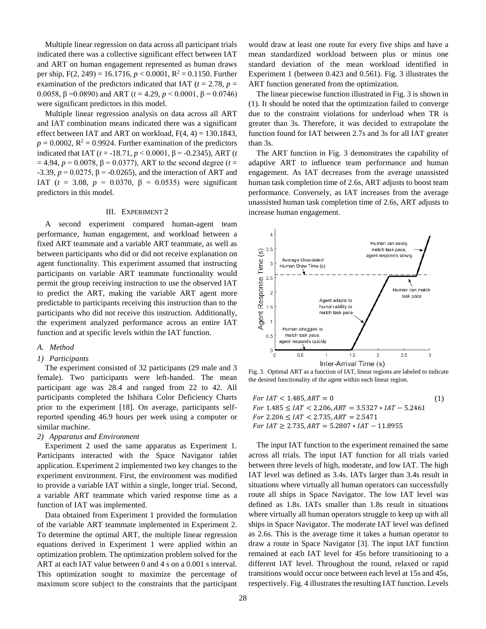Multiple linear regression on data across all participant trials indicated there was a collective significant effect between IAT and ART on human engagement represented as human draws per ship,  $F(2, 249) = 16.1716$ ,  $p < 0.0001$ ,  $R^2 = 0.1150$ . Further examination of the predictors indicated that IAT  $(t = 2.78, p =$ 0.0058, β =0.0890) and ART (*t* = 4.29, *p* < 0.0001, β = 0.0746) were significant predictors in this model.

Multiple linear regression analysis on data across all ART and IAT combination means indicated there was a significant effect between IAT and ART on workload,  $F(4, 4) = 130.1843$ ,  $p = 0.0002$ ,  $R^2 = 0.9924$ . Further examination of the predictors indicated that IAT (*t* = -18.71, *p* < 0.0001, β = -0.2345), ART (*t*   $= 4.94$ ,  $p = 0.0078$ ,  $β = 0.0377$ ), ART to the second degree (*t* =  $-3.39, p = 0.0275, β = -0.0265$ , and the interaction of ART and IAT (*t* = 3.08, *p* = 0.0370, β = 0.0535) were significant predictors in this model.

#### III. EXPERIMENT 2

A second experiment compared human-agent team performance, human engagement, and workload between a fixed ART teammate and a variable ART teammate, as well as between participants who did or did not receive explanation on agent functionality. This experiment assumed that instructing participants on variable ART teammate functionality would permit the group receiving instruction to use the observed IAT to predict the ART, making the variable ART agent more predictable to participants receiving this instruction than to the participants who did not receive this instruction. Additionally, the experiment analyzed performance across an entire IAT function and at specific levels within the IAT function.

#### *A. Method*

#### *1) Participants*

The experiment consisted of 32 participants (29 male and 3 female). Two participants were left-handed. The mean participant age was 28.4 and ranged from 22 to 42. All participants completed the Ishihara Color Deficiency Charts prior to the experiment [18]. On average, participants selfreported spending 46.9 hours per week using a computer or similar machine.

#### *2) Apparatus and Environment*

Experiment 2 used the same apparatus as Experiment 1. Participants interacted with the Space Navigator tablet application. Experiment 2 implemented two key changes to the experiment environment. First, the environment was modified to provide a variable IAT within a single, longer trial. Second, a variable ART teammate which varied response time as a function of IAT was implemented.

Data obtained from Experiment 1 provided the formulation of the variable ART teammate implemented in Experiment 2. To determine the optimal ART, the multiple linear regression equations derived in Experiment 1 were applied within an optimization problem. The optimization problem solved for the ART at each IAT value between 0 and 4 s on a 0.001 s interval. This optimization sought to maximize the percentage of maximum score subject to the constraints that the participant

would draw at least one route for every five ships and have a mean standardized workload between plus or minus one standard deviation of the mean workload identified in Experiment 1 (between 0.423 and 0.561). Fig. 3 illustrates the ART function generated from the optimization.

The linear piecewise function illustrated in Fig. 3 is shown in (1). It should be noted that the optimization failed to converge due to the constraint violations for underload when TR is greater than 3s. Therefore, it was decided to extrapolate the function found for IAT between 2.7s and 3s for all IAT greater than 3s.

The ART function in Fig. 3 demonstrates the capability of adaptive ART to influence team performance and human engagement. As IAT decreases from the average unassisted human task completion time of 2.6s, ART adjusts to boost team performance. Conversely, as IAT increases from the average unassisted human task completion time of 2.6s, ART adjusts to increase human engagement.



Fig. 3. Optimal ART as a function of IAT, linear regions are labeled to indicate the desired functionality of the agent within each linear region.

| For $IAT < 1.485$ , $ART = 0$                                | (1) |
|--------------------------------------------------------------|-----|
| For $1.485 \leq IAT < 2.206$ , $ART = 3.5327 * IAT - 5.2461$ |     |
| For 2.206 $\leq$ IAT $\leq$ 2.735. ART = 2.5471              |     |
| For $IAT > 2.735$ . $ART = 5.2807 * IAT - 11.8955$           |     |

The input IAT function to the experiment remained the same across all trials. The input IAT function for all trials varied between three levels of high, moderate, and low IAT. The high IAT level was defined as 3.4s. IATs larger than 3.4s result in situations where virtually all human operators can successfully route all ships in Space Navigator. The low IAT level was defined as 1.8s. IATs smaller than 1.8s result in situations where virtually all human operators struggle to keep up with all ships in Space Navigator. The moderate IAT level was defined as 2.6s. This is the average time it takes a human operator to draw a route in Space Navigator [3]. The input IAT function remained at each IAT level for 45s before transitioning to a different IAT level. Throughout the round, relaxed or rapid transitions would occur once between each level at 15s and 45s, respectively. Fig. 4 illustrates the resulting IAT function. Levels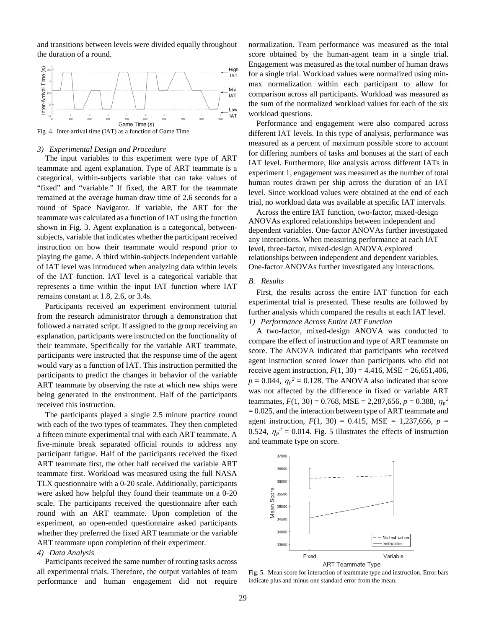and transitions between levels were divided equally throughout the duration of a round.



Fig. 4. Inter-arrival time (IAT) as a function of Game Time

#### *3) Experimental Design and Procedure*

The input variables to this experiment were type of ART teammate and agent explanation. Type of ART teammate is a categorical, within-subjects variable that can take values of "fixed" and "variable." If fixed, the ART for the teammate remained at the average human draw time of 2.6 seconds for a round of Space Navigator. If variable, the ART for the teammate was calculated as a function of IAT using the function shown in Fig. 3. Agent explanation is a categorical, betweensubjects, variable that indicates whether the participant received instruction on how their teammate would respond prior to playing the game. A third within-subjects independent variable of IAT level was introduced when analyzing data within levels of the IAT function. IAT level is a categorical variable that represents a time within the input IAT function where IAT remains constant at 1.8, 2.6, or 3.4s.

Participants received an experiment environment tutorial from the research administrator through a demonstration that followed a narrated script. If assigned to the group receiving an explanation, participants were instructed on the functionality of their teammate. Specifically for the variable ART teammate, participants were instructed that the response time of the agent would vary as a function of IAT. This instruction permitted the participants to predict the changes in behavior of the variable ART teammate by observing the rate at which new ships were being generated in the environment. Half of the participants received this instruction.

The participants played a single 2.5 minute practice round with each of the two types of teammates. They then completed a fifteen minute experimental trial with each ART teammate. A five-minute break separated official rounds to address any participant fatigue. Half of the participants received the fixed ART teammate first, the other half received the variable ART teammate first. Workload was measured using the full NASA TLX questionnaire with a 0-20 scale. Additionally, participants were asked how helpful they found their teammate on a 0-20 scale. The participants received the questionnaire after each round with an ART teammate. Upon completion of the experiment, an open-ended questionnaire asked participants whether they preferred the fixed ART teammate or the variable ART teammate upon completion of their experiment.

#### *4) Data Analysis*

Participants received the same number of routing tasks across all experimental trials. Therefore, the output variables of team performance and human engagement did not require normalization. Team performance was measured as the total score obtained by the human-agent team in a single trial. Engagement was measured as the total number of human draws for a single trial. Workload values were normalized using minmax normalization within each participant to allow for comparison across all participants. Workload was measured as the sum of the normalized workload values for each of the six workload questions.

Performance and engagement were also compared across different IAT levels. In this type of analysis, performance was measured as a percent of maximum possible score to account for differing numbers of tasks and bonuses at the start of each IAT level. Furthermore, like analysis across different IATs in experiment 1, engagement was measured as the number of total human routes drawn per ship across the duration of an IAT level. Since workload values were obtained at the end of each trial, no workload data was available at specific IAT intervals.

Across the entire IAT function, two-factor, mixed-design ANOVAs explored relationships between independent and dependent variables. One-factor ANOVAs further investigated any interactions. When measuring performance at each IAT level, three-factor, mixed-design ANOVA explored relationships between independent and dependent variables. One-factor ANOVAs further investigated any interactions.

#### *B. Results*

First, the results across the entire IAT function for each experimental trial is presented. These results are followed by further analysis which compared the results at each IAT level. *1) Performance Across Entire IAT Function*

A two-factor, mixed-design ANOVA was conducted to compare the effect of instruction and type of ART teammate on score. The ANOVA indicated that participants who received agent instruction scored lower than participants who did not receive agent instruction,  $F(1, 30) = 4.416$ , MSE = 26,651,406,  $p = 0.044$ ,  $\eta_p^2 = 0.128$ . The ANOVA also indicated that score was not affected by the difference in fixed or variable ART teammates,  $F(1, 30) = 0.768$ , MSE = 2,287,656,  $p = 0.388$ ,  $\eta_p^2$ = 0.025, and the interaction between type of ART teammate and agent instruction,  $F(1, 30) = 0.415$ , MSE = 1,237,656,  $p =$ 0.524,  $\eta_p^2 = 0.014$ . Fig. 5 illustrates the effects of instruction and teammate type on score.



Fig. 5. Mean score for interaction of teammate type and instruction. Error bars indicate plus and minus one standard error from the mean.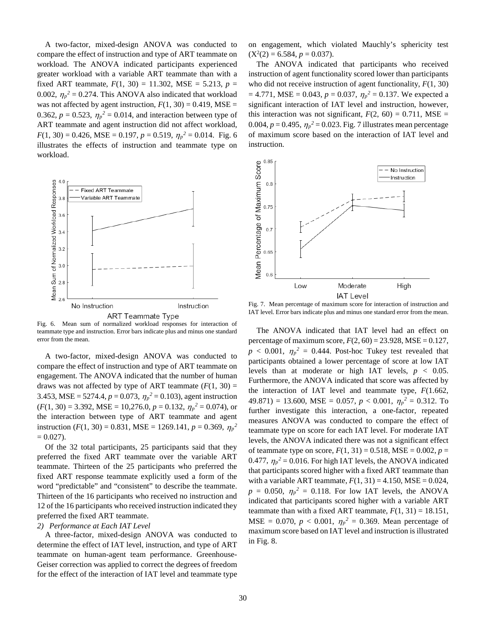A two-factor, mixed-design ANOVA was conducted to compare the effect of instruction and type of ART teammate on workload. The ANOVA indicated participants experienced greater workload with a variable ART teammate than with a fixed ART teammate,  $F(1, 30) = 11.302$ , MSE = 5.213,  $p =$ 0.002,  $\eta_p^2 = 0.274$ . This ANOVA also indicated that workload was not affected by agent instruction,  $F(1, 30) = 0.419$ , MSE = 0.362,  $p = 0.523$ ,  $\eta_p^2 = 0.014$ , and interaction between type of ART teammate and agent instruction did not affect workload,  $F(1, 30) = 0.426$ , MSE = 0.197,  $p = 0.519$ ,  $\eta_p^2 = 0.014$ . Fig. 6 illustrates the effects of instruction and teammate type on workload.



Fig. 6. Mean sum of normalized workload responses for interaction of teammate type and instruction. Error bars indicate plus and minus one standard error from the mean.

A two-factor, mixed-design ANOVA was conducted to compare the effect of instruction and type of ART teammate on engagement. The ANOVA indicated that the number of human draws was not affected by type of ART teammate  $(F(1, 30))$  = 3.453, MSE = 5274.4,  $p = 0.073$ ,  $\eta_p^2 = 0.103$ ), agent instruction  $(F(1, 30) = 3.392, \text{MSE} = 10,276.0, p = 0.132, \eta_p^2 = 0.074$ , or the interaction between type of ART teammate and agent instruction (*F*(1, 30) = 0.831, MSE = 1269.141,  $p = 0.369$ ,  $\eta_p^2$  $= 0.027$ ).

Of the 32 total participants, 25 participants said that they preferred the fixed ART teammate over the variable ART teammate. Thirteen of the 25 participants who preferred the fixed ART response teammate explicitly used a form of the word "predictable" and "consistent" to describe the teammate. Thirteen of the 16 participants who received no instruction and 12 of the 16 participants who received instruction indicated they preferred the fixed ART teammate.

#### *2) Performance at Each IAT Level*

A three-factor, mixed-design ANOVA was conducted to determine the effect of IAT level, instruction, and type of ART teammate on human-agent team performance. Greenhouse-Geiser correction was applied to correct the degrees of freedom for the effect of the interaction of IAT level and teammate type on engagement, which violated Mauchly's sphericity test  $(X^2(2) = 6.584, p = 0.037).$ 

The ANOVA indicated that participants who received instruction of agent functionality scored lower than participants who did not receive instruction of agent functionality, *F*(1, 30)  $= 4.771$ , MSE = 0.043,  $p = 0.037$ ,  $\eta_p^2 = 0.137$ . We expected a significant interaction of IAT level and instruction, however, this interaction was not significant,  $F(2, 60) = 0.711$ , MSE = 0.004,  $p = 0.495$ ,  $\eta_p^2 = 0.023$ . Fig. 7 illustrates mean percentage of maximum score based on the interaction of IAT level and instruction.



Fig. 7. Mean percentage of maximum score for interaction of instruction and IAT level. Error bars indicate plus and minus one standard error from the mean.

The ANOVA indicated that IAT level had an effect on percentage of maximum score,  $F(2, 60) = 23.928$ , MSE = 0.127,  $p < 0.001$ ,  $\eta_p^2 = 0.444$ . Post-hoc Tukey test revealed that participants obtained a lower percentage of score at low IAT levels than at moderate or high IAT levels,  $p < 0.05$ . Furthermore, the ANOVA indicated that score was affected by the interaction of IAT level and teammate type, *F*(1.662,  $49.871$  = 13.600, MSE = 0.057,  $p < 0.001$ ,  $\eta_p^2 = 0.312$ . To further investigate this interaction, a one-factor, repeated measures ANOVA was conducted to compare the effect of teammate type on score for each IAT level. For moderate IAT levels, the ANOVA indicated there was not a significant effect of teammate type on score,  $F(1, 31) = 0.518$ , MSE = 0.002,  $p =$ 0.477,  $\eta_p^2 = 0.016$ . For high IAT levels, the ANOVA indicated that participants scored higher with a fixed ART teammate than with a variable ART teammate,  $F(1, 31) = 4.150$ , MSE = 0.024,  $p = 0.050$ ,  $\eta_p^2 = 0.118$ . For low IAT levels, the ANOVA indicated that participants scored higher with a variable ART teammate than with a fixed ART teammate,  $F(1, 31) = 18.151$ ,  $MSE = 0.070, p < 0.001, \eta_p^2 = 0.369$ . Mean percentage of maximum score based on IAT level and instruction is illustrated in Fig. 8.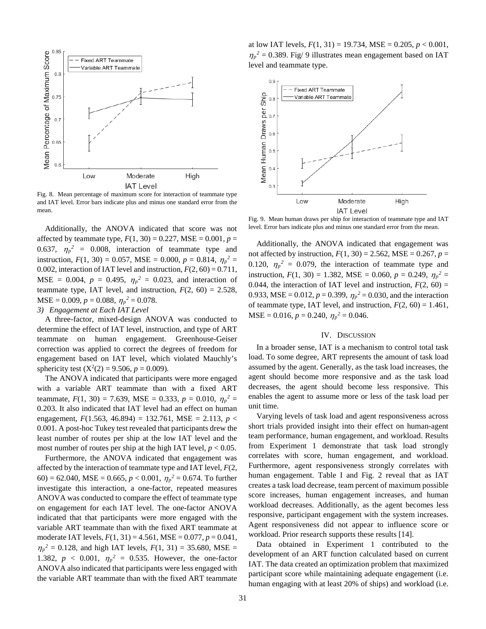

Fig. 8. Mean percentage of maximum score for interaction of teammate type and IAT level. Error bars indicate plus and minus one standard error from the mean.

Additionally, the ANOVA indicated that score was not affected by teammate type,  $F(1, 30) = 0.227$ , MSE =  $0.001$ ,  $p =$ 0.637,  $\eta_p^2 = 0.008$ , interaction of teammate type and instruction,  $F(1, 30) = 0.057$ , MSE = 0.000,  $p = 0.814$ ,  $\eta_p^2 =$ 0.002, interaction of IAT level and instruction,  $F(2, 60) = 0.711$ ,  $MSE = 0.004$ ,  $p = 0.495$ ,  $\eta_p^2 = 0.023$ , and interaction of teammate type, IAT level, and instruction,  $F(2, 60) = 2.528$ ,  $MSE = 0.009, p = 0.088, \eta_p^2 = 0.078.$ *3) Engagement at Each IAT Level*

A three-factor, mixed-design ANOVA was conducted to determine the effect of IAT level, instruction, and type of ART teammate on human engagement. Greenhouse-Geiser correction was applied to correct the degrees of freedom for engagement based on IAT level, which violated Mauchly's sphericity test  $(X^2(2) = 9.506, p = 0.009)$ .

The ANOVA indicated that participants were more engaged with a variable ART teammate than with a fixed ART teammate,  $F(1, 30) = 7.639$ , MSE = 0.333,  $p = 0.010$ ,  $\eta_p^2 =$ 0.203. It also indicated that IAT level had an effect on human engagement, *F*(1.563, 46.894) = 132.761, MSE = 2.113, *p* < 0.001. A post-hoc Tukey test revealed that participants drew the least number of routes per ship at the low IAT level and the most number of routes per ship at the high IAT level,  $p < 0.05$ .

Furthermore, the ANOVA indicated that engagement was affected by the interaction of teammate type and IAT level, *F*(2, 60) = 62.040, MSE = 0.665,  $p < 0.001$ ,  $\eta_p^2 = 0.674$ . To further investigate this interaction, a one-factor, repeated measures ANOVA was conducted to compare the effect of teammate type on engagement for each IAT level. The one-factor ANOVA indicated that that participants were more engaged with the variable ART teammate than with the fixed ART teammate at moderate IAT levels, *F*(1, 31) = 4.561, MSE = 0.077, *p* = 0.041,  $\eta_p^2 = 0.128$ , and high IAT levels,  $F(1, 31) = 35.680$ , MSE = 1.382,  $p < 0.001$ ,  $\eta_p^2 = 0.535$ . However, the one-factor ANOVA also indicated that participants were less engaged with the variable ART teammate than with the fixed ART teammate

at low IAT levels,  $F(1, 31) = 19.734$ , MSE = 0.205,  $p < 0.001$ ,  $\eta_p^2 = 0.389$ . Fig/ 9 illustrates mean engagement based on IAT level and teammate type.



Fig. 9. Mean human draws per ship for interaction of teammate type and IAT level. Error bars indicate plus and minus one standard error from the mean.

Additionally, the ANOVA indicated that engagement was not affected by instruction,  $F(1, 30) = 2.562$ , MSE = 0.267,  $p =$ 0.120,  $\eta_p^2 = 0.079$ , the interaction of teammate type and instruction,  $F(1, 30) = 1.382$ , MSE = 0.060,  $p = 0.249$ ,  $\eta_p^2 =$ 0.044, the interaction of IAT level and instruction,  $F(2, 60) =$ 0.933, MSE = 0.012,  $p = 0.399$ ,  $\eta_p^2 = 0.030$ , and the interaction of teammate type, IAT level, and instruction,  $F(2, 60) = 1.461$ ,  $MSE = 0.016, p = 0.240, \eta_p^2 = 0.046.$ 

#### IV. DISCUSSION

In a broader sense, IAT is a mechanism to control total task load. To some degree, ART represents the amount of task load assumed by the agent. Generally, as the task load increases, the agent should become more responsive and as the task load decreases, the agent should become less responsive. This enables the agent to assume more or less of the task load per unit time.

Varying levels of task load and agent responsiveness across short trials provided insight into their effect on human-agent team performance, human engagement, and workload. Results from Experiment 1 demonstrate that task load strongly correlates with score, human engagement, and workload. Furthermore, agent responsiveness strongly correlates with human engagement. Table I and Fig. 2 reveal that as IAT creates a task load decrease, team percent of maximum possible score increases, human engagement increases, and human workload decreases. Additionally, as the agent becomes less responsive, participant engagement with the system increases. Agent responsiveness did not appear to influence score or workload. Prior research supports these results [14].

Data obtained in Experiment 1 contributed to the development of an ART function calculated based on current IAT. The data created an optimization problem that maximized participant score while maintaining adequate engagement (i.e. human engaging with at least 20% of ships) and workload (i.e.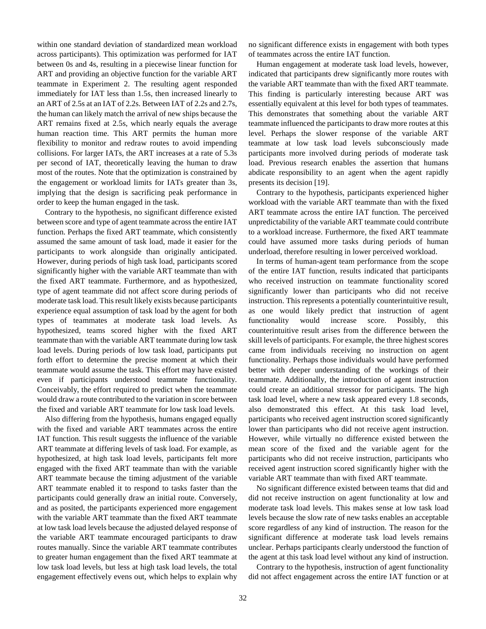within one standard deviation of standardized mean workload across participants). This optimization was performed for IAT between 0s and 4s, resulting in a piecewise linear function for ART and providing an objective function for the variable ART teammate in Experiment 2. The resulting agent responded immediately for IAT less than 1.5s, then increased linearly to an ART of 2.5s at an IAT of 2.2s. Between IAT of 2.2s and 2.7s, the human can likely match the arrival of new ships because the ART remains fixed at 2.5s, which nearly equals the average human reaction time. This ART permits the human more flexibility to monitor and redraw routes to avoid impending collisions. For larger IATs, the ART increases at a rate of 5.3s per second of IAT, theoretically leaving the human to draw most of the routes. Note that the optimization is constrained by the engagement or workload limits for IATs greater than 3s, implying that the design is sacrificing peak performance in order to keep the human engaged in the task.

Contrary to the hypothesis, no significant difference existed between score and type of agent teammate across the entire IAT function. Perhaps the fixed ART teammate, which consistently assumed the same amount of task load, made it easier for the participants to work alongside than originally anticipated. However, during periods of high task load, participants scored significantly higher with the variable ART teammate than with the fixed ART teammate. Furthermore, and as hypothesized, type of agent teammate did not affect score during periods of moderate task load. This result likely exists because participants experience equal assumption of task load by the agent for both types of teammates at moderate task load levels. As hypothesized, teams scored higher with the fixed ART teammate than with the variable ART teammate during low task load levels. During periods of low task load, participants put forth effort to determine the precise moment at which their teammate would assume the task. This effort may have existed even if participants understood teammate functionality. Conceivably, the effort required to predict when the teammate would draw a route contributed to the variation in score between the fixed and variable ART teammate for low task load levels.

Also differing from the hypothesis, humans engaged equally with the fixed and variable ART teammates across the entire IAT function. This result suggests the influence of the variable ART teammate at differing levels of task load. For example, as hypothesized, at high task load levels, participants felt more engaged with the fixed ART teammate than with the variable ART teammate because the timing adjustment of the variable ART teammate enabled it to respond to tasks faster than the participants could generally draw an initial route. Conversely, and as posited, the participants experienced more engagement with the variable ART teammate than the fixed ART teammate at low task load levels because the adjusted delayed response of the variable ART teammate encouraged participants to draw routes manually. Since the variable ART teammate contributes to greater human engagement than the fixed ART teammate at low task load levels, but less at high task load levels, the total engagement effectively evens out, which helps to explain why

no significant difference exists in engagement with both types of teammates across the entire IAT function.

Human engagement at moderate task load levels, however, indicated that participants drew significantly more routes with the variable ART teammate than with the fixed ART teammate. This finding is particularly interesting because ART was essentially equivalent at this level for both types of teammates. This demonstrates that something about the variable ART teammate influenced the participants to draw more routes at this level. Perhaps the slower response of the variable ART teammate at low task load levels subconsciously made participants more involved during periods of moderate task load. Previous research enables the assertion that humans abdicate responsibility to an agent when the agent rapidly presents its decision [19].

Contrary to the hypothesis, participants experienced higher workload with the variable ART teammate than with the fixed ART teammate across the entire IAT function. The perceived unpredictability of the variable ART teammate could contribute to a workload increase. Furthermore, the fixed ART teammate could have assumed more tasks during periods of human underload, therefore resulting in lower perceived workload.

In terms of human-agent team performance from the scope of the entire IAT function, results indicated that participants who received instruction on teammate functionality scored significantly lower than participants who did not receive instruction. This represents a potentially counterintuitive result, as one would likely predict that instruction of agent functionality would increase score. Possibly, this counterintuitive result arises from the difference between the skill levels of participants. For example, the three highest scores came from individuals receiving no instruction on agent functionality. Perhaps those individuals would have performed better with deeper understanding of the workings of their teammate. Additionally, the introduction of agent instruction could create an additional stressor for participants. The high task load level, where a new task appeared every 1.8 seconds, also demonstrated this effect. At this task load level, participants who received agent instruction scored significantly lower than participants who did not receive agent instruction. However, while virtually no difference existed between the mean score of the fixed and the variable agent for the participants who did not receive instruction, participants who received agent instruction scored significantly higher with the variable ART teammate than with fixed ART teammate.

No significant difference existed between teams that did and did not receive instruction on agent functionality at low and moderate task load levels. This makes sense at low task load levels because the slow rate of new tasks enables an acceptable score regardless of any kind of instruction. The reason for the significant difference at moderate task load levels remains unclear. Perhaps participants clearly understood the function of the agent at this task load level without any kind of instruction.

Contrary to the hypothesis, instruction of agent functionality did not affect engagement across the entire IAT function or at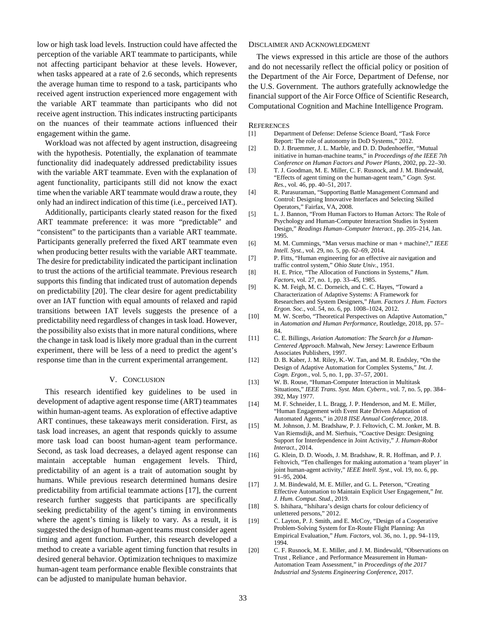low or high task load levels. Instruction could have affected the perception of the variable ART teammate to participants, while not affecting participant behavior at these levels. However, when tasks appeared at a rate of 2.6 seconds, which represents the average human time to respond to a task, participants who received agent instruction experienced more engagement with the variable ART teammate than participants who did not receive agent instruction. This indicates instructing participants on the nuances of their teammate actions influenced their engagement within the game.

Workload was not affected by agent instruction, disagreeing with the hypothesis. Potentially, the explanation of teammate functionality did inadequately addressed predictability issues with the variable ART teammate. Even with the explanation of agent functionality, participants still did not know the exact time when the variable ART teammate would draw a route, they only had an indirect indication of this time (i.e., perceived IAT).

Additionally, participants clearly stated reason for the fixed ART teammate preference: it was more "predictable" and "consistent" to the participants than a variable ART teammate. Participants generally preferred the fixed ART teammate even when producing better results with the variable ART teammate. The desire for predictability indicated the participant inclination to trust the actions of the artificial teammate. Previous research supports this finding that indicated trust of automation depends on predictability [20]. The clear desire for agent predictability over an IAT function with equal amounts of relaxed and rapid transitions between IAT levels suggests the presence of a predictability need regardless of changes in task load. However, the possibility also exists that in more natural conditions, where the change in task load is likely more gradual than in the current experiment, there will be less of a need to predict the agent's response time than in the current experimental arrangement.

#### V. CONCLUSION

This research identified key guidelines to be used in development of adaptive agent response time (ART) teammates within human-agent teams. As exploration of effective adaptive ART continues, these takeaways merit consideration. First, as task load increases, an agent that responds quickly to assume more task load can boost human-agent team performance. Second, as task load decreases, a delayed agent response can maintain acceptable human engagement levels. Third, predictability of an agent is a trait of automation sought by humans. While previous research determined humans desire predictability from artificial teammate actions [17], the current research further suggests that participants are specifically seeking predictability of the agent's timing in environments where the agent's timing is likely to vary. As a result, it is suggested the design of human-agent teams must consider agent timing and agent function. Further, this research developed a method to create a variable agent timing function that results in desired general behavior. Optimization techniques to maximize human-agent team performance enable flexible constraints that can be adjusted to manipulate human behavior.

#### DISCLAIMER AND ACKNOWLEDGMENT

The views expressed in this article are those of the authors and do not necessarily reflect the official policy or position of the Department of the Air Force, Department of Defense, nor the U.S. Government. The authors gratefully acknowledge the financial support of the Air Force Office of Scientific Research, Computational Cognition and Machine Intelligence Program.

#### **REFERENCES**

- [1] Department of Defense: Defense Science Board, "Task Force Report: The role of autonomy in DoD Systems," 2012.
- [2] D. J. Bruemmer, J. L. Marble, and D. D. Dudenhoeffer, "Mutual initiative in human-machine teams," in *Proceedings of the IEEE 7th Conference on Human Factors and Power Plants*, 2002, pp. 22–30.
- [3] T. J. Goodman, M. E. Miller, C. F. Rusnock, and J. M. Bindewald, "Effects of agent timing on the human-agent team," *Cogn. Syst. Res.*, vol. 46, pp. 40–51, 2017.
- [4] R. Parasuraman, "Supporting Battle Management Command and Control: Designing Innovative Interfaces and Selecting Skilled Operators," Fairfax, VA, 2008.
- [5] L. J. Bannon, "From Human Factors to Human Actors: The Role of Psychology and Human-Computer Interaction Studies in System Design," *Readings Human–Computer Interact.*, pp. 205–214, Jan. 1995.
- [6] M. M. Cummings, "Man versus machine or man + machine?," *IEEE Intell. Syst.*, vol. 29, no. 5, pp. 62–69, 2014.
- [7] P. Fitts, "Human engineering for an effective air navigation and traffic control system," *Ohio State Univ.*, 1951.
- [8] H. E. Price, "The Allocation of Functions in Systems," *Hum. Factors*, vol. 27, no. 1, pp. 33–45, 1985.
- [9] K. M. Feigh, M. C. Dorneich, and C. C. Hayes, "Toward a Characterization of Adaptive Systems: A Framework for Researchers and System Designers," *Hum. Factors J. Hum. Factors Ergon. Soc.*, vol. 54, no. 6, pp. 1008–1024, 2012.
- [10] M. W. Scerbo, "Theoretical Perspectives on Adaptive Automation," in *Automation and Human Performance*, Routledge, 2018, pp. 57– 84.
- [11] C. E. Billings, *Aviation Automation: The Search for a Human-Centered Approach*. Mahwah, New Jersey: Lawrence Erlbaum Associates Publishers, 1997.
- [12] D. B. Kaber, J. M. Riley, K.-W. Tan, and M. R. Endsley, "On the Design of Adaptive Automation for Complex Systems," *Int. J. Cogn. Ergon.*, vol. 5, no. 1, pp. 37–57, 2001.
- [13] W. B. Rouse, "Human-Computer Interaction in Multitask Situations," *IEEE Trans. Syst. Man. Cybern.*, vol. 7, no. 5, pp. 384– 392, May 1977.
- [14] M. F. Schneider, I. L. Bragg, J. P. Henderson, and M. E. Miller, "Human Engagement with Event Rate Driven Adaptation of Automated Agents," in *2018 IISE Annual Conference*, 2018.
- [15] M. Johnson, J. M. Bradshaw, P. J. Feltovich, C. M. Jonker, M. B. Van Riemsdijk, and M. Sierhuis, "Coactive Design: Designing Support for Interdependence in Joint Activity," *J. Human-Robot Interact.*, 2014.
- [16] G. Klein, D. D. Woods, J. M. Bradshaw, R. R. Hoffman, and P. J. Feltovich, "Ten challenges for making automation a 'team player' in joint human-agent activity," *IEEE Intell. Syst.*, vol. 19, no. 6, pp. 91–95, 2004.
- [17] J. M. Bindewald, M. E. Miller, and G. L. Peterson, "Creating Effective Automation to Maintain Explicit User Engagement," *Int. J. Hum. Comput. Stud.*, 2019.
- [18] S. Ishihara, "Ishihara's design charts for colour deficiency of unlettered persons," 2012.
- [19] C. Layton, P. J. Smith, and E. McCoy, "Design of a Cooperative Problem-Solving System for En-Route Flight Planning: An Empirical Evaluation," *Hum. Factors*, vol. 36, no. 1, pp. 94–119, 1994.
- [20] C. F. Rusnock, M. E. Miller, and J. M. Bindewald, "Observations on Trust , Reliance , and Performance Measurement in Human-Automation Team Assessment," in *Proceedings of the 2017 Industrial and Systems Engineering Conference*, 2017.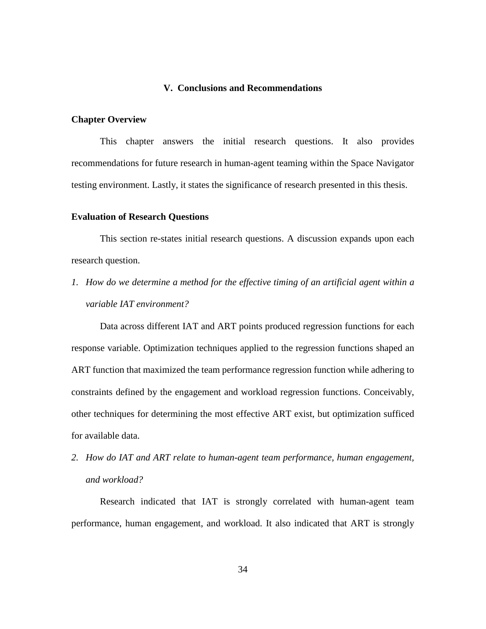# **V. Conclusions and Recommendations**

#### <span id="page-44-1"></span><span id="page-44-0"></span>**Chapter Overview**

This chapter answers the initial research questions. It also provides recommendations for future research in human-agent teaming within the Space Navigator testing environment. Lastly, it states the significance of research presented in this thesis.

#### <span id="page-44-2"></span>**Evaluation of Research Questions**

This section re-states initial research questions. A discussion expands upon each research question.

*1. How do we determine a method for the effective timing of an artificial agent within a variable IAT environment?*

Data across different IAT and ART points produced regression functions for each response variable. Optimization techniques applied to the regression functions shaped an ART function that maximized the team performance regression function while adhering to constraints defined by the engagement and workload regression functions. Conceivably, other techniques for determining the most effective ART exist, but optimization sufficed for available data.

*2. How do IAT and ART relate to human-agent team performance, human engagement, and workload?*

Research indicated that IAT is strongly correlated with human-agent team performance, human engagement, and workload. It also indicated that ART is strongly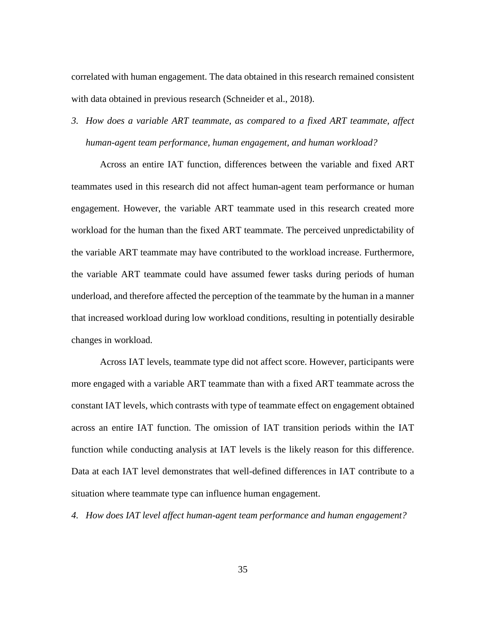correlated with human engagement. The data obtained in this research remained consistent with data obtained in previous research (Schneider et al., 2018).

*3. How does a variable ART teammate, as compared to a fixed ART teammate, affect human-agent team performance, human engagement, and human workload?*

Across an entire IAT function, differences between the variable and fixed ART teammates used in this research did not affect human-agent team performance or human engagement. However, the variable ART teammate used in this research created more workload for the human than the fixed ART teammate. The perceived unpredictability of the variable ART teammate may have contributed to the workload increase. Furthermore, the variable ART teammate could have assumed fewer tasks during periods of human underload, and therefore affected the perception of the teammate by the human in a manner that increased workload during low workload conditions, resulting in potentially desirable changes in workload.

Across IAT levels, teammate type did not affect score. However, participants were more engaged with a variable ART teammate than with a fixed ART teammate across the constant IAT levels, which contrasts with type of teammate effect on engagement obtained across an entire IAT function. The omission of IAT transition periods within the IAT function while conducting analysis at IAT levels is the likely reason for this difference. Data at each IAT level demonstrates that well-defined differences in IAT contribute to a situation where teammate type can influence human engagement.

*4. How does IAT level affect human-agent team performance and human engagement?*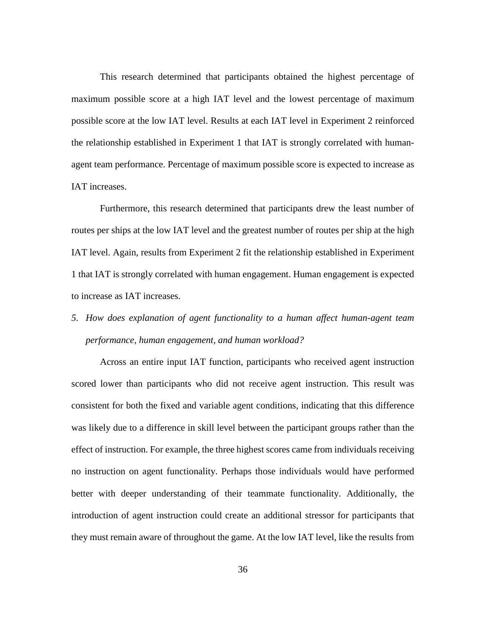This research determined that participants obtained the highest percentage of maximum possible score at a high IAT level and the lowest percentage of maximum possible score at the low IAT level. Results at each IAT level in Experiment 2 reinforced the relationship established in Experiment 1 that IAT is strongly correlated with humanagent team performance. Percentage of maximum possible score is expected to increase as IAT increases.

Furthermore, this research determined that participants drew the least number of routes per ships at the low IAT level and the greatest number of routes per ship at the high IAT level. Again, results from Experiment 2 fit the relationship established in Experiment 1 that IAT is strongly correlated with human engagement. Human engagement is expected to increase as IAT increases.

*5. How does explanation of agent functionality to a human affect human-agent team performance, human engagement, and human workload?*

Across an entire input IAT function, participants who received agent instruction scored lower than participants who did not receive agent instruction. This result was consistent for both the fixed and variable agent conditions, indicating that this difference was likely due to a difference in skill level between the participant groups rather than the effect of instruction. For example, the three highest scores came from individuals receiving no instruction on agent functionality. Perhaps those individuals would have performed better with deeper understanding of their teammate functionality. Additionally, the introduction of agent instruction could create an additional stressor for participants that they must remain aware of throughout the game. At the low IAT level, like the results from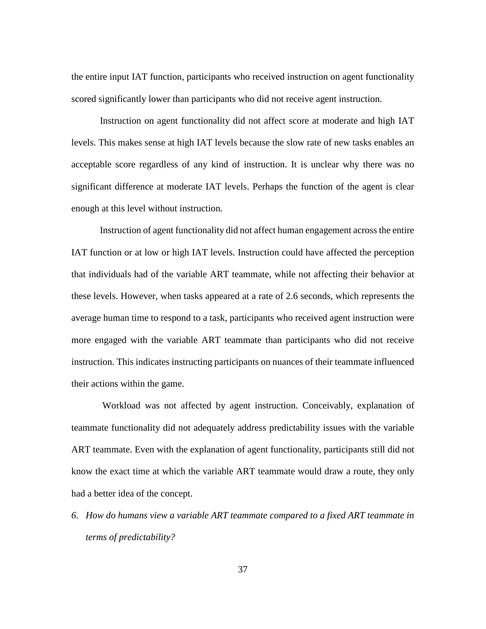the entire input IAT function, participants who received instruction on agent functionality scored significantly lower than participants who did not receive agent instruction.

Instruction on agent functionality did not affect score at moderate and high IAT levels. This makes sense at high IAT levels because the slow rate of new tasks enables an acceptable score regardless of any kind of instruction. It is unclear why there was no significant difference at moderate IAT levels. Perhaps the function of the agent is clear enough at this level without instruction.

Instruction of agent functionality did not affect human engagement across the entire IAT function or at low or high IAT levels. Instruction could have affected the perception that individuals had of the variable ART teammate, while not affecting their behavior at these levels. However, when tasks appeared at a rate of 2.6 seconds, which represents the average human time to respond to a task, participants who received agent instruction were more engaged with the variable ART teammate than participants who did not receive instruction. This indicates instructing participants on nuances of their teammate influenced their actions within the game.

Workload was not affected by agent instruction. Conceivably, explanation of teammate functionality did not adequately address predictability issues with the variable ART teammate. Even with the explanation of agent functionality, participants still did not know the exact time at which the variable ART teammate would draw a route, they only had a better idea of the concept.

*6. How do humans view a variable ART teammate compared to a fixed ART teammate in terms of predictability?*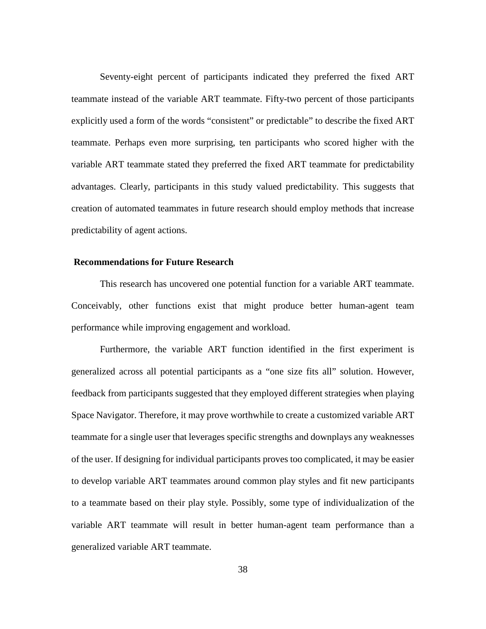Seventy-eight percent of participants indicated they preferred the fixed ART teammate instead of the variable ART teammate. Fifty-two percent of those participants explicitly used a form of the words "consistent" or predictable" to describe the fixed ART teammate. Perhaps even more surprising, ten participants who scored higher with the variable ART teammate stated they preferred the fixed ART teammate for predictability advantages. Clearly, participants in this study valued predictability. This suggests that creation of automated teammates in future research should employ methods that increase predictability of agent actions.

# <span id="page-48-0"></span>**Recommendations for Future Research**

This research has uncovered one potential function for a variable ART teammate. Conceivably, other functions exist that might produce better human-agent team performance while improving engagement and workload.

Furthermore, the variable ART function identified in the first experiment is generalized across all potential participants as a "one size fits all" solution. However, feedback from participants suggested that they employed different strategies when playing Space Navigator. Therefore, it may prove worthwhile to create a customized variable ART teammate for a single user that leverages specific strengths and downplays any weaknesses of the user. If designing for individual participants proves too complicated, it may be easier to develop variable ART teammates around common play styles and fit new participants to a teammate based on their play style. Possibly, some type of individualization of the variable ART teammate will result in better human-agent team performance than a generalized variable ART teammate.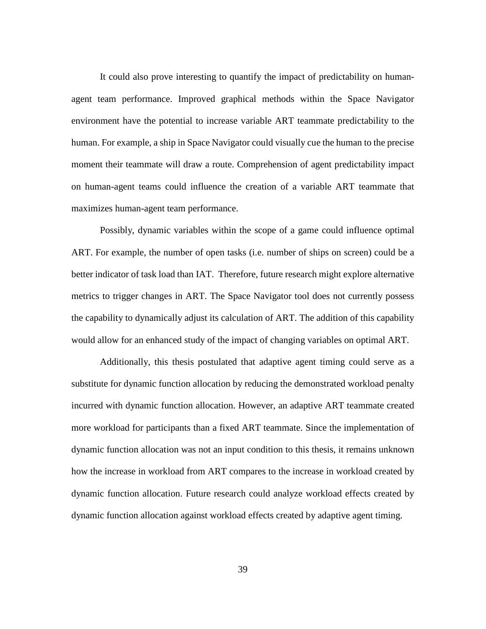It could also prove interesting to quantify the impact of predictability on humanagent team performance. Improved graphical methods within the Space Navigator environment have the potential to increase variable ART teammate predictability to the human. For example, a ship in Space Navigator could visually cue the human to the precise moment their teammate will draw a route. Comprehension of agent predictability impact on human-agent teams could influence the creation of a variable ART teammate that maximizes human-agent team performance.

Possibly, dynamic variables within the scope of a game could influence optimal ART. For example, the number of open tasks (i.e. number of ships on screen) could be a better indicator of task load than IAT. Therefore, future research might explore alternative metrics to trigger changes in ART. The Space Navigator tool does not currently possess the capability to dynamically adjust its calculation of ART. The addition of this capability would allow for an enhanced study of the impact of changing variables on optimal ART.

Additionally, this thesis postulated that adaptive agent timing could serve as a substitute for dynamic function allocation by reducing the demonstrated workload penalty incurred with dynamic function allocation. However, an adaptive ART teammate created more workload for participants than a fixed ART teammate. Since the implementation of dynamic function allocation was not an input condition to this thesis, it remains unknown how the increase in workload from ART compares to the increase in workload created by dynamic function allocation. Future research could analyze workload effects created by dynamic function allocation against workload effects created by adaptive agent timing.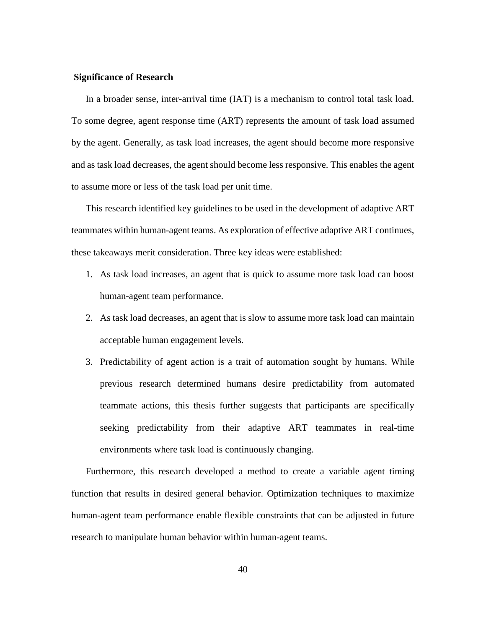#### <span id="page-50-0"></span>**Significance of Research**

In a broader sense, inter-arrival time (IAT) is a mechanism to control total task load. To some degree, agent response time (ART) represents the amount of task load assumed by the agent. Generally, as task load increases, the agent should become more responsive and as task load decreases, the agent should become less responsive. This enables the agent to assume more or less of the task load per unit time.

This research identified key guidelines to be used in the development of adaptive ART teammates within human-agent teams. As exploration of effective adaptive ART continues, these takeaways merit consideration. Three key ideas were established:

- 1. As task load increases, an agent that is quick to assume more task load can boost human-agent team performance.
- 2. As task load decreases, an agent that is slow to assume more task load can maintain acceptable human engagement levels.
- 3. Predictability of agent action is a trait of automation sought by humans. While previous research determined humans desire predictability from automated teammate actions, this thesis further suggests that participants are specifically seeking predictability from their adaptive ART teammates in real-time environments where task load is continuously changing.

Furthermore, this research developed a method to create a variable agent timing function that results in desired general behavior. Optimization techniques to maximize human-agent team performance enable flexible constraints that can be adjusted in future research to manipulate human behavior within human-agent teams.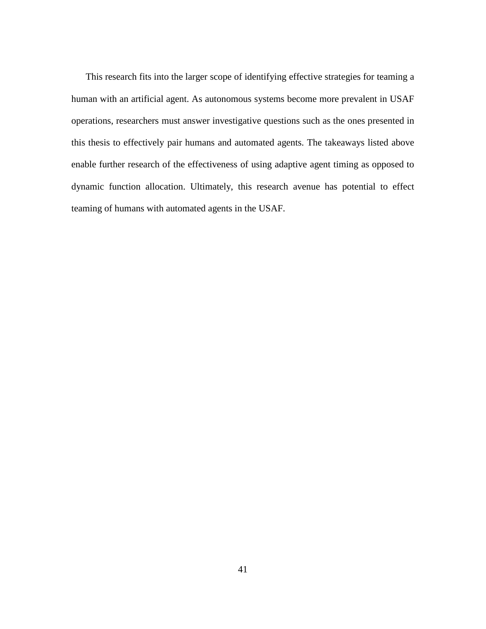This research fits into the larger scope of identifying effective strategies for teaming a human with an artificial agent. As autonomous systems become more prevalent in USAF operations, researchers must answer investigative questions such as the ones presented in this thesis to effectively pair humans and automated agents. The takeaways listed above enable further research of the effectiveness of using adaptive agent timing as opposed to dynamic function allocation. Ultimately, this research avenue has potential to effect teaming of humans with automated agents in the USAF.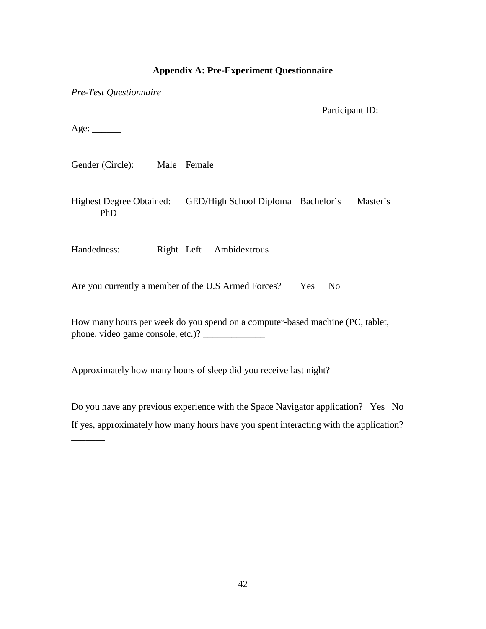# **Appendix A: Pre-Experiment Questionnaire**

<span id="page-52-0"></span>*Pre-Test Questionnaire*

Participant ID: \_\_\_\_\_\_\_

 $Age:$ 

 $\overline{\phantom{a}}$ 

Gender (Circle): Male Female

Highest Degree Obtained: GED/High School Diploma Bachelor's Master's PhD

Handedness: Right Left Ambidextrous

Are you currently a member of the U.S Armed Forces? Yes No

How many hours per week do you spend on a computer-based machine (PC, tablet, phone, video game console, etc.)? \_\_\_\_\_\_\_\_\_\_\_\_\_

Approximately how many hours of sleep did you receive last night? \_\_\_\_\_\_\_\_\_\_\_\_\_\_

Do you have any previous experience with the Space Navigator application? Yes No If yes, approximately how many hours have you spent interacting with the application?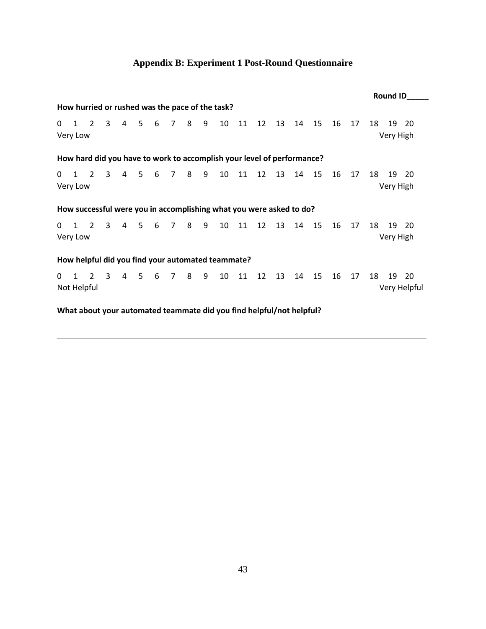| Appendix B: Experiment 1 Post-Round Questionnaire |  |  |  |
|---------------------------------------------------|--|--|--|
|---------------------------------------------------|--|--|--|

<span id="page-53-0"></span>

|                                                                        |                                                                      |             |                         |                |       |   |                |                |   |                                                                     |    |    |    |    |    |    |    |    | <b>Round ID</b> |                    |
|------------------------------------------------------------------------|----------------------------------------------------------------------|-------------|-------------------------|----------------|-------|---|----------------|----------------|---|---------------------------------------------------------------------|----|----|----|----|----|----|----|----|-----------------|--------------------|
| How hurried or rushed was the pace of the task?                        |                                                                      |             |                         |                |       |   |                |                |   |                                                                     |    |    |    |    |    |    |    |    |                 |                    |
| 0                                                                      | $1 \quad 2$<br>Very Low                                              |             | 3                       | 4              | 5     | 6 | $\overline{7}$ | 8 <sup>8</sup> | 9 | 10                                                                  | 11 | 12 | 13 | 14 | 15 | 16 | 17 | 18 | 19<br>Very High | -20                |
| How hard did you have to work to accomplish your level of performance? |                                                                      |             |                         |                |       |   |                |                |   |                                                                     |    |    |    |    |    |    |    |    |                 |                    |
| 0                                                                      | $1 \quad 2$<br>Very Low                                              |             | 3                       | $\overline{4}$ | .5    | 6 | $\overline{7}$ | 8 <sup>8</sup> | 9 | 10                                                                  | 11 | 12 | 13 | 14 | 15 | 16 | 17 | 18 | 19<br>Very High | 20                 |
|                                                                        |                                                                      |             |                         |                |       |   |                |                |   | How successful were you in accomplishing what you were asked to do? |    |    |    |    |    |    |    |    |                 |                    |
| 0                                                                      | Very Low                                                             | $1 \quad 2$ | 3                       | $\overline{4}$ | 5     | 6 | 7              | 8              | 9 | 10                                                                  | 11 | 12 | 13 | 14 | 15 | 16 | 17 | 18 | 19<br>Very High | -20                |
| How helpful did you find your automated teammate?                      |                                                                      |             |                         |                |       |   |                |                |   |                                                                     |    |    |    |    |    |    |    |    |                 |                    |
| 0                                                                      | $1 \quad 2$<br>Not Helpful                                           |             | $\overline{\mathbf{3}}$ |                | 4 5 6 |   | 78             |                | 9 | 10                                                                  | 11 | 12 | 13 | 14 | 15 | 16 | 17 | 18 | 19              | 20<br>Very Helpful |
|                                                                        | What about your automated teammate did you find helpful/not helpful? |             |                         |                |       |   |                |                |   |                                                                     |    |    |    |    |    |    |    |    |                 |                    |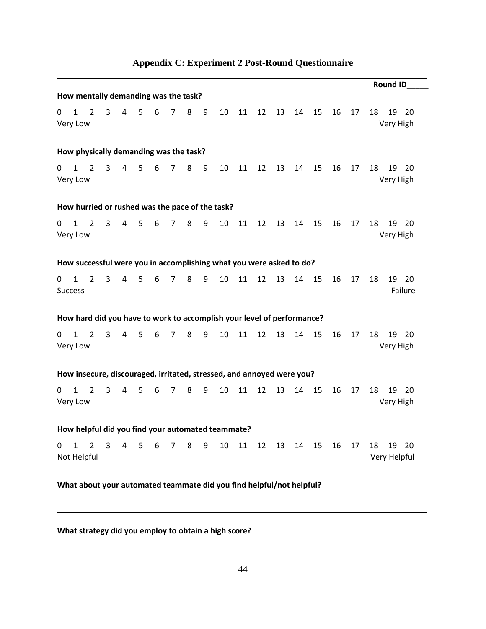<span id="page-54-0"></span>

|              |                                |                                                                        |                |                |                |                 |                |   |   |                                     |    |    |    |    |    |    |    | Round ID_                     |
|--------------|--------------------------------|------------------------------------------------------------------------|----------------|----------------|----------------|-----------------|----------------|---|---|-------------------------------------|----|----|----|----|----|----|----|-------------------------------|
|              |                                | How mentally demanding was the task?                                   |                |                |                |                 |                |   |   |                                     |    |    |    |    |    |    |    |                               |
| 0            | $\mathbf{1}$<br>Very Low       | $\overline{2}$                                                         | $\overline{3}$ | $\overline{4}$ | 5 <sub>1</sub> | $6\overline{6}$ | 7 <sup>7</sup> | 8 | 9 | 10                                  | 11 | 12 | 13 | 14 | 15 | 16 | 17 | 18<br>19 20<br>Very High      |
|              |                                | How physically demanding was the task?                                 |                |                |                |                 |                |   |   |                                     |    |    |    |    |    |    |    |                               |
| 0            | $\mathbf{1}$<br>Very Low       | $\overline{2}$                                                         | 3              |                | 4 5            | $6\overline{6}$ | 7 <sup>7</sup> | 8 | 9 | 10                                  | 11 | 12 | 13 | 14 | 15 | 16 | 17 | 18<br>19<br>- 20<br>Very High |
|              |                                | How hurried or rushed was the pace of the task?                        |                |                |                |                 |                |   |   |                                     |    |    |    |    |    |    |    |                               |
| $\mathbf{0}$ | $\mathbf{1}$<br>Very Low       | $\overline{2}$                                                         | 3 <sup>7</sup> | 4              | 5 <sub>1</sub> | 6               | 7 <sup>7</sup> | 8 | 9 | 10                                  | 11 | 12 | 13 | 14 | 15 | 16 | 17 | 18<br>19<br>20<br>Very High   |
|              |                                | How successful were you in accomplishing what you were asked to do?    |                |                |                |                 |                |   |   |                                     |    |    |    |    |    |    |    |                               |
| 0            | $\mathbf{1}$<br><b>Success</b> | $\overline{2}$                                                         | 3              | $\overline{4}$ | 5              | 6               | $\overline{7}$ | 8 | 9 | 10                                  | 11 | 12 | 13 | 14 | 15 | 16 | 17 | 18<br>19 20<br>Failure        |
|              |                                | How hard did you have to work to accomplish your level of performance? |                |                |                |                 |                |   |   |                                     |    |    |    |    |    |    |    |                               |
| 0            | $\mathbf{1}$<br>Very Low       | $\overline{2}$                                                         | 3              | $\overline{4}$ | 5              | 6               | $\overline{7}$ | 8 | 9 | 10                                  | 11 | 12 | 13 | 14 | 15 | 16 | 17 | 18<br>19<br>- 20<br>Very High |
|              |                                | How insecure, discouraged, irritated, stressed, and annoyed were you?  |                |                |                |                 |                |   |   |                                     |    |    |    |    |    |    |    |                               |
| 0            | $\mathbf{1}$<br>Very Low       | $\overline{2}$                                                         | 3              | $\overline{4}$ | 5              | 6               | $\overline{7}$ | 8 | 9 | 10                                  | 11 | 12 | 13 | 14 | 15 | 16 | 17 | 18<br>19<br>20<br>Very High   |
|              |                                | How helpful did you find your automated teammate?                      |                |                |                |                 |                |   |   |                                     |    |    |    |    |    |    |    |                               |
| 0            | $\mathbf{1}$                   | $\overline{2}$<br>Not Helpful                                          | $3^{\circ}$    |                |                |                 |                |   |   | 4 5 6 7 8 9 10 11 12 13 14 15 16 17 |    |    |    |    |    |    |    | 18<br>19 20<br>Very Helpful   |
|              |                                | What about your automated teammate did you find helpful/not helpful?   |                |                |                |                 |                |   |   |                                     |    |    |    |    |    |    |    |                               |

# **Appendix C: Experiment 2 Post-Round Questionnaire**

# **What strategy did you employ to obtain a high score?**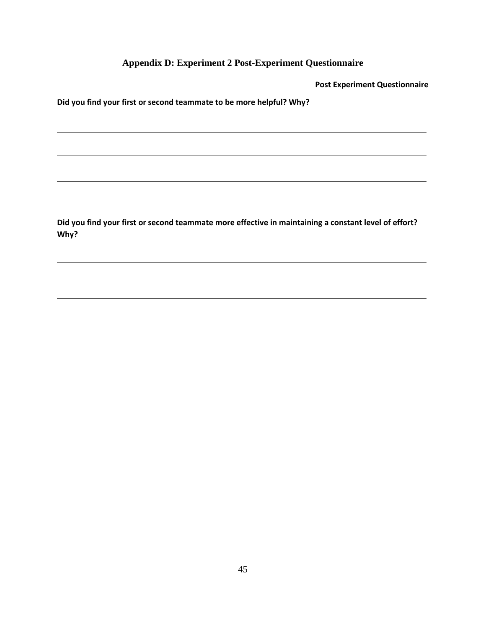**Appendix D: Experiment 2 Post-Experiment Questionnaire**

**Post Experiment Questionnaire**

<span id="page-55-0"></span>**Did you find your first or second teammate to be more helpful? Why?**

**Did you find your first or second teammate more effective in maintaining a constant level of effort? Why?**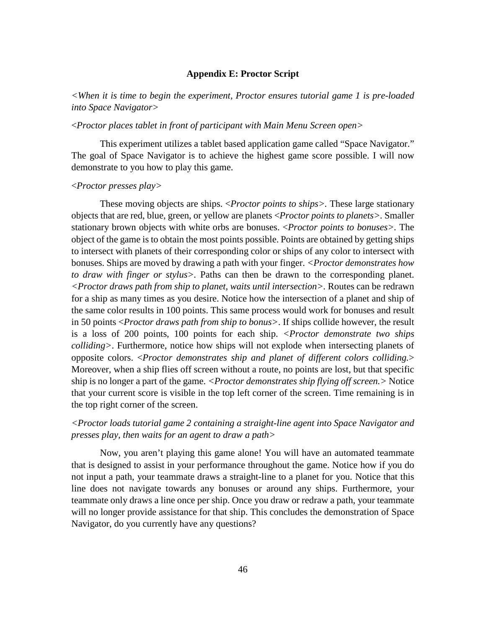# **Appendix E: Proctor Script**

<span id="page-56-0"></span>*<When it is time to begin the experiment, Proctor ensures tutorial game 1 is pre-loaded into Space Navigator>*

# <*Proctor places tablet in front of participant with Main Menu Screen open>*

This experiment utilizes a tablet based application game called "Space Navigator." The goal of Space Navigator is to achieve the highest game score possible. I will now demonstrate to you how to play this game.

#### <*Proctor presses play>*

These moving objects are ships. <*Proctor points to ships>.* These large stationary objects that are red, blue, green, or yellow are planets <*Proctor points to planets>.* Smaller stationary brown objects with white orbs are bonuses. <*Proctor points to bonuses>.* The object of the game is to obtain the most points possible. Points are obtained by getting ships to intersect with planets of their corresponding color or ships of any color to intersect with bonuses. Ships are moved by drawing a path with your finger. *<Proctor demonstrates how to draw with finger or stylus>.* Paths can then be drawn to the corresponding planet. *<Proctor draws path from ship to planet, waits until intersection>.* Routes can be redrawn for a ship as many times as you desire. Notice how the intersection of a planet and ship of the same color results in 100 points. This same process would work for bonuses and result in 50 points <*Proctor draws path from ship to bonus>*. If ships collide however, the result is a loss of 200 points, 100 points for each ship. *<Proctor demonstrate two ships colliding>*. Furthermore, notice how ships will not explode when intersecting planets of opposite colors. <*Proctor demonstrates ship and planet of different colors colliding.*> Moreover, when a ship flies off screen without a route, no points are lost, but that specific ship is no longer a part of the game. *<Proctor demonstrates ship flying off screen.>* Notice that your current score is visible in the top left corner of the screen. Time remaining is in the top right corner of the screen.

# *<Proctor loads tutorial game 2 containing a straight-line agent into Space Navigator and presses play, then waits for an agent to draw a path>*

Now, you aren't playing this game alone! You will have an automated teammate that is designed to assist in your performance throughout the game. Notice how if you do not input a path, your teammate draws a straight-line to a planet for you. Notice that this line does not navigate towards any bonuses or around any ships. Furthermore, your teammate only draws a line once per ship. Once you draw or redraw a path, your teammate will no longer provide assistance for that ship. This concludes the demonstration of Space Navigator, do you currently have any questions?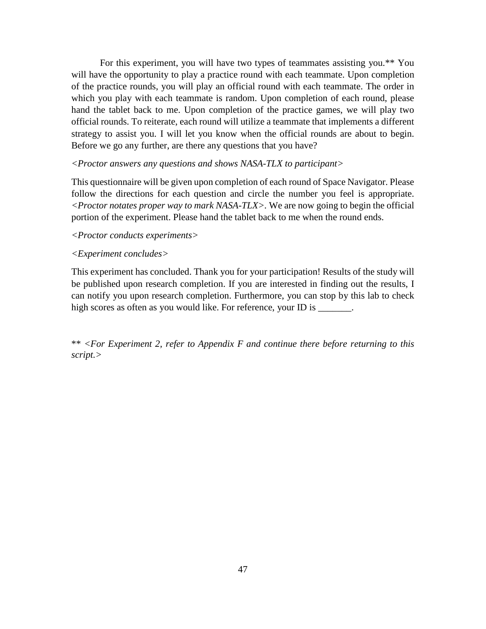For this experiment, you will have two types of teammates assisting you.\*\* You will have the opportunity to play a practice round with each teammate. Upon completion of the practice rounds, you will play an official round with each teammate. The order in which you play with each teammate is random. Upon completion of each round, please hand the tablet back to me. Upon completion of the practice games, we will play two official rounds. To reiterate, each round will utilize a teammate that implements a different strategy to assist you. I will let you know when the official rounds are about to begin. Before we go any further, are there any questions that you have?

# *<Proctor answers any questions and shows NASA-TLX to participant>*

This questionnaire will be given upon completion of each round of Space Navigator. Please follow the directions for each question and circle the number you feel is appropriate. *<Proctor notates proper way to mark NASA-TLX>.* We are now going to begin the official portion of the experiment. Please hand the tablet back to me when the round ends.

# *<Proctor conducts experiments>*

# *<Experiment concludes>*

This experiment has concluded. Thank you for your participation! Results of the study will be published upon research completion. If you are interested in finding out the results, I can notify you upon research completion. Furthermore, you can stop by this lab to check high scores as often as you would like. For reference, your ID is \_\_\_\_\_\_\_.

\*\* *<For Experiment 2, refer to Appendix F and continue there before returning to this script.>*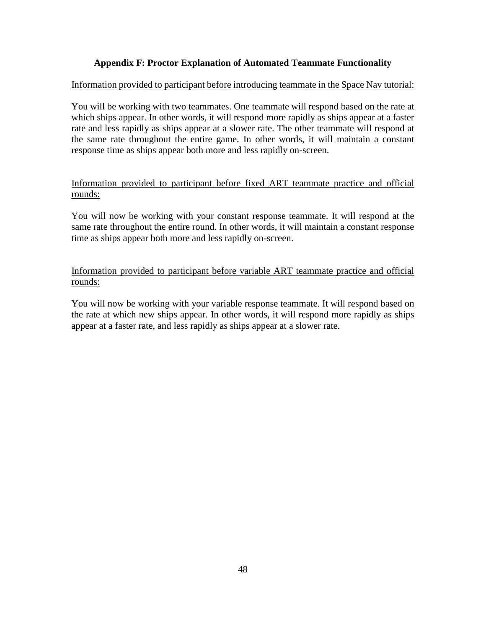# **Appendix F: Proctor Explanation of Automated Teammate Functionality**

# <span id="page-58-0"></span>Information provided to participant before introducing teammate in the Space Nav tutorial:

You will be working with two teammates. One teammate will respond based on the rate at which ships appear. In other words, it will respond more rapidly as ships appear at a faster rate and less rapidly as ships appear at a slower rate. The other teammate will respond at the same rate throughout the entire game. In other words, it will maintain a constant response time as ships appear both more and less rapidly on-screen.

# Information provided to participant before fixed ART teammate practice and official rounds:

You will now be working with your constant response teammate. It will respond at the same rate throughout the entire round. In other words, it will maintain a constant response time as ships appear both more and less rapidly on-screen.

# Information provided to participant before variable ART teammate practice and official rounds:

You will now be working with your variable response teammate. It will respond based on the rate at which new ships appear. In other words, it will respond more rapidly as ships appear at a faster rate, and less rapidly as ships appear at a slower rate.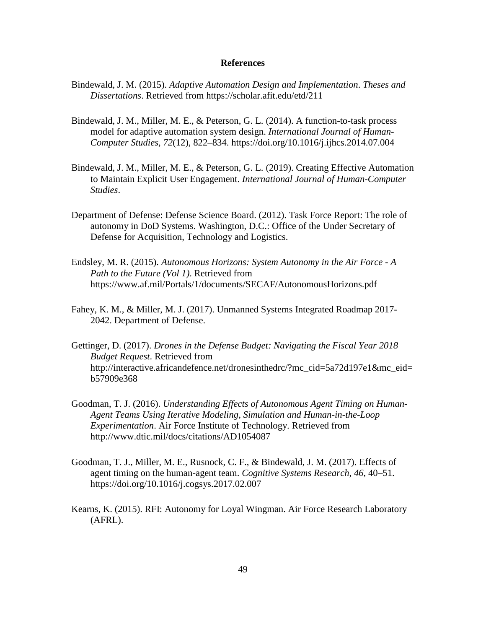#### **References**

- <span id="page-59-0"></span>Bindewald, J. M. (2015). *Adaptive Automation Design and Implementation*. *Theses and Dissertations*. Retrieved from https://scholar.afit.edu/etd/211
- Bindewald, J. M., Miller, M. E., & Peterson, G. L. (2014). A function-to-task process model for adaptive automation system design. *International Journal of Human-Computer Studies*, *72*(12), 822–834. https://doi.org/10.1016/j.ijhcs.2014.07.004
- Bindewald, J. M., Miller, M. E., & Peterson, G. L. (2019). Creating Effective Automation to Maintain Explicit User Engagement. *International Journal of Human-Computer Studies*.
- Department of Defense: Defense Science Board. (2012). Task Force Report: The role of autonomy in DoD Systems. Washington, D.C.: Office of the Under Secretary of Defense for Acquisition, Technology and Logistics.
- Endsley, M. R. (2015). *Autonomous Horizons: System Autonomy in the Air Force - A Path to the Future (Vol 1)*. Retrieved from https://www.af.mil/Portals/1/documents/SECAF/AutonomousHorizons.pdf
- Fahey, K. M., & Miller, M. J. (2017). Unmanned Systems Integrated Roadmap 2017- 2042. Department of Defense.
- Gettinger, D. (2017). *Drones in the Defense Budget: Navigating the Fiscal Year 2018 Budget Request*. Retrieved from http://interactive.africandefence.net/dronesinthedrc/?mc\_cid=5a72d197e1&mc\_eid= b57909e368
- Goodman, T. J. (2016). *Understanding Effects of Autonomous Agent Timing on Human-Agent Teams Using Iterative Modeling, Simulation and Human-in-the-Loop Experimentation*. Air Force Institute of Technology. Retrieved from http://www.dtic.mil/docs/citations/AD1054087
- Goodman, T. J., Miller, M. E., Rusnock, C. F., & Bindewald, J. M. (2017). Effects of agent timing on the human-agent team. *Cognitive Systems Research*, *46*, 40–51. https://doi.org/10.1016/j.cogsys.2017.02.007
- Kearns, K. (2015). RFI: Autonomy for Loyal Wingman. Air Force Research Laboratory (AFRL).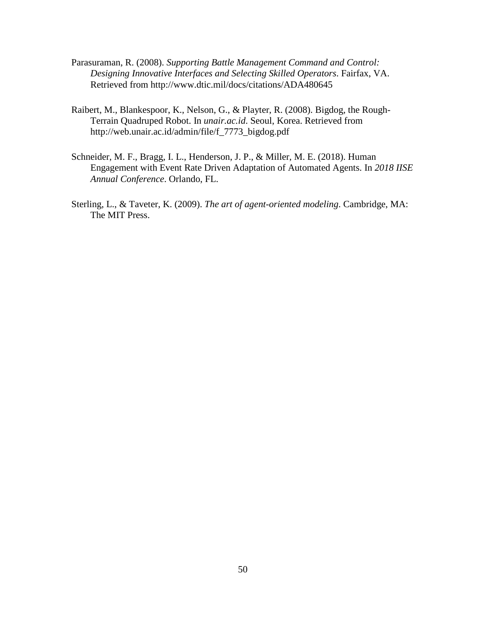- Parasuraman, R. (2008). *Supporting Battle Management Command and Control: Designing Innovative Interfaces and Selecting Skilled Operators*. Fairfax, VA. Retrieved from http://www.dtic.mil/docs/citations/ADA480645
- Raibert, M., Blankespoor, K., Nelson, G., & Playter, R. (2008). Bigdog, the Rough-Terrain Quadruped Robot. In *unair.ac.id*. Seoul, Korea. Retrieved from http://web.unair.ac.id/admin/file/f\_7773\_bigdog.pdf
- Schneider, M. F., Bragg, I. L., Henderson, J. P., & Miller, M. E. (2018). Human Engagement with Event Rate Driven Adaptation of Automated Agents. In *2018 IISE Annual Conference*. Orlando, FL.
- Sterling, L., & Taveter, K. (2009). *The art of agent-oriented modeling*. Cambridge, MA: The MIT Press.